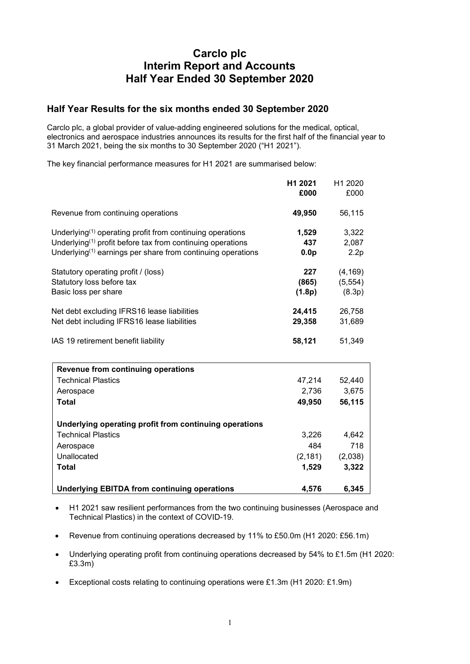# **Carclo plc Interim Report and Accounts Half Year Ended 30 September 2020**

# **Half Year Results for the six months ended 30 September 2020**

Carclo plc, a global provider of value-adding engineered solutions for the medical, optical, electronics and aerospace industries announces its results for the first half of the financial year to 31 March 2021, being the six months to 30 September 2020 ("H1 2021").

The key financial performance measures for H1 2021 are summarised below:

|                                                                                      | H1 2021<br>£000  | H1 2020<br>£000 |
|--------------------------------------------------------------------------------------|------------------|-----------------|
| Revenue from continuing operations                                                   | 49,950           | 56,115          |
| Underlying <sup>(1)</sup> operating profit from continuing operations                | 1,529            | 3,322           |
| Underlying <sup><math>(1)</math></sup> profit before tax from continuing operations  | 437              | 2,087           |
| Underlying <sup><math>(1)</math></sup> earnings per share from continuing operations | 0.0 <sub>p</sub> | 2.2p            |
| Statutory operating profit / (loss)                                                  | 227              | (4, 169)        |
| Statutory loss before tax                                                            | (865)            | (5, 554)        |
| Basic loss per share                                                                 | (1.8p)           | (8.3p)          |
| Net debt excluding IFRS16 lease liabilities                                          | 24,415           | 26,758          |
| Net debt including IFRS16 lease liabilities                                          | 29,358           | 31,689          |
| IAS 19 retirement benefit liability                                                  | 58,121           | 51,349          |
| Revenue from continuing operations                                                   |                  |                 |
| <b>Technical Plastics</b>                                                            | 47,214           | 52,440          |
| Aerospace                                                                            | 2,736            | 3,675           |
| <b>Total</b>                                                                         | 49,950           | 56,115          |
| Underlying operating profit from continuing operations                               |                  |                 |
| <b>Technical Plastics</b>                                                            | 3,226            | 4,642           |
| Aerospace                                                                            | 484              | 718             |
| Unallocated                                                                          | (2, 181)         | (2,038)         |
| <b>Total</b>                                                                         | 1,529            | 3,322           |
| <b>Underlying EBITDA from continuing operations</b>                                  | 4,576            | 6,345           |

- H1 2021 saw resilient performances from the two continuing businesses (Aerospace and Technical Plastics) in the context of COVID-19.
- Revenue from continuing operations decreased by 11% to £50.0m (H1 2020: £56.1m)
- Underlying operating profit from continuing operations decreased by 54% to £1.5m (H1 2020: £3.3m)
- Exceptional costs relating to continuing operations were £1.3m (H1 2020: £1.9m)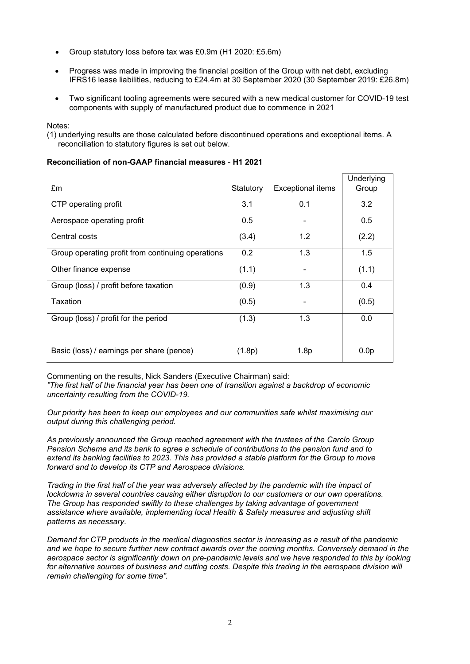- Group statutory loss before tax was £0.9m (H1 2020: £5.6m)
- Progress was made in improving the financial position of the Group with net debt, excluding IFRS16 lease liabilities, reducing to £24.4m at 30 September 2020 (30 September 2019: £26.8m)
- Two significant tooling agreements were secured with a new medical customer for COVID-19 test components with supply of manufactured product due to commence in 2021

Notes:

(1) underlying results are those calculated before discontinued operations and exceptional items. A reconciliation to statutory figures is set out below.

# **Reconciliation of non-GAAP financial measures** - **H1 2021**

| £m                                                | Statutory | Exceptional items | Underlying<br>Group |
|---------------------------------------------------|-----------|-------------------|---------------------|
| CTP operating profit                              | 3.1       | 0.1               | 3.2                 |
| Aerospace operating profit                        | 0.5       |                   | 0.5                 |
| Central costs                                     | (3.4)     | 1.2               | (2.2)               |
| Group operating profit from continuing operations | 0.2       | 1.3               | 1.5                 |
| Other finance expense                             | (1.1)     |                   | (1.1)               |
| Group (loss) / profit before taxation             | (0.9)     | 1.3               | 0.4                 |
| Taxation                                          | (0.5)     |                   | (0.5)               |
| Group (loss) / profit for the period              | (1.3)     | 1.3               | 0.0                 |
| Basic (loss) / earnings per share (pence)         | (1.8p)    | 1.8p              | 0.0 <sub>p</sub>    |

Commenting on the results, Nick Sanders (Executive Chairman) said: *"The first half of the financial year has been one of transition against a backdrop of economic uncertainty resulting from the COVID-19.*

*Our priority has been to keep our employees and our communities safe whilst maximising our output during this challenging period.*

*As previously announced the Group reached agreement with the trustees of the Carclo Group Pension Scheme and its bank to agree a schedule of contributions to the pension fund and to extend its banking facilities to 2023. This has provided a stable platform for the Group to move forward and to develop its CTP and Aerospace divisions.*

*Trading in the first half of the year was adversely affected by the pandemic with the impact of lockdowns in several countries causing either disruption to our customers or our own operations. The Group has responded swiftly to these challenges by taking advantage of government assistance where available, implementing local Health & Safety measures and adjusting shift patterns as necessary.*

*Demand for CTP products in the medical diagnostics sector is increasing as a result of the pandemic and we hope to secure further new contract awards over the coming months. Conversely demand in the aerospace sector is significantly down on pre-pandemic levels and we have responded to this by looking*  for alternative sources of business and cutting costs. Despite this trading in the aerospace division will *remain challenging for some time".*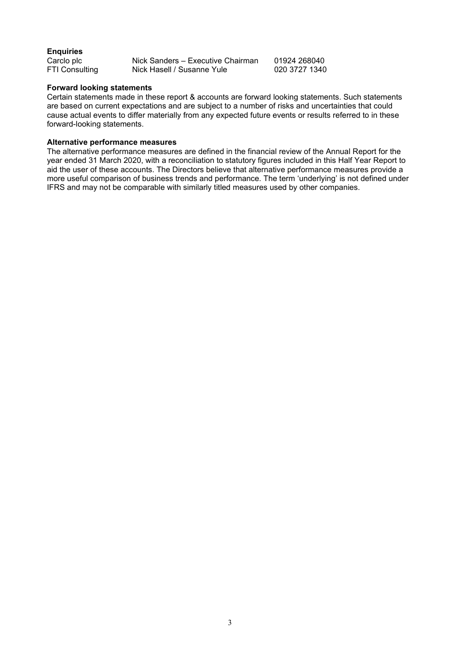# **Enquiries**

| Carclo plc     | Nick Sanders - Executive Chairman | 01924 268040  |
|----------------|-----------------------------------|---------------|
| FTI Consulting | Nick Hasell / Susanne Yule        | 020 3727 1340 |

# **Forward looking statements**

Certain statements made in these report & accounts are forward looking statements. Such statements are based on current expectations and are subject to a number of risks and uncertainties that could cause actual events to differ materially from any expected future events or results referred to in these forward-looking statements.

# **Alternative performance measures**

The alternative performance measures are defined in the financial review of the Annual Report for the year ended 31 March 2020, with a reconciliation to statutory figures included in this Half Year Report to aid the user of these accounts. The Directors believe that alternative performance measures provide a more useful comparison of business trends and performance. The term 'underlying' is not defined under IFRS and may not be comparable with similarly titled measures used by other companies.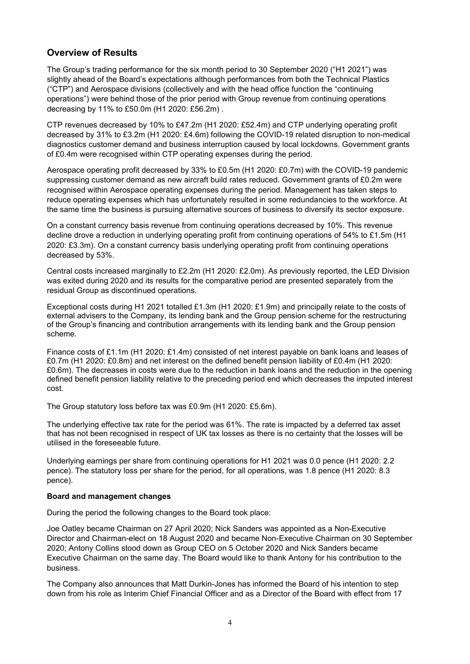# **Overview of Results**

The Group's trading performance for the six month period to 30 September 2020 ("H1 2021") was slightly ahead of the Board's expectations although performances from both the Technical Plastics ("CTP") and Aerospace divisions (collectively and with the head office function the "continuing operations") were behind those of the prior period with Group revenue from continuing operations decreasing by 11% to £50.0m (H1 2020: £56.2m) .

CTP revenues decreased by 10% to £47.2m (H1 2020: £52.4m) and CTP underlying operating profit decreased by 31% to £3.2m (H1 2020: £4.6m) following the COVID-19 related disruption to non-medical diagnostics customer demand and business interruption caused by local lockdowns. Government grants of £0.4m were recognised within CTP operating expenses during the period.

Aerospace operating profit decreased by 33% to £0.5m (H1 2020: £0.7m) with the COVID-19 pandemic suppressing customer demand as new aircraft build rates reduced. Government grants of £0.2m were recognised within Aerospace operating expenses during the period. Management has taken steps to reduce operating expenses which has unfortunately resulted in some redundancies to the workforce. At the same time the business is pursuing alternative sources of business to diversify its sector exposure.

On a constant currency basis revenue from continuing operations decreased by 10%. This revenue decline drove a reduction in underlying operating profit from continuing operations of 54% to £1.5m (H1 2020: £3.3m). On a constant currency basis underlying operating profit from continuing operations decreased by 53%.

Central costs increased marginally to £2.2m (H1 2020: £2.0m). As previously reported, the LED Division was exited during 2020 and its results for the comparative period are presented separately from the residual Group as discontinued operations.

Exceptional costs during H1 2021 totalled £1.3m (H1 2020: £1.9m) and principally relate to the costs of external advisers to the Company, its lending bank and the Group pension scheme for the restructuring of the Group's financing and contribution arrangements with its lending bank and the Group pension scheme.

Finance costs of £1.1m (H1 2020: £1.4m) consisted of net interest payable on bank loans and leases of £0.7m (H1 2020: £0.8m) and net interest on the defined benefit pension liability of £0.4m (H1 2020: £0.6m). The decreases in costs were due to the reduction in bank loans and the reduction in the opening defined benefit pension liability relative to the preceding period end which decreases the imputed interest cost.

The Group statutory loss before tax was £0.9m (H1 2020: £5.6m).

The underlying effective tax rate for the period was 61%. The rate is impacted by a deferred tax asset that has not been recognised in respect of UK tax losses as there is no certainty that the losses will be utilised in the foreseeable future.

Underlying earnings per share from continuing operations for H1 2021 was 0.0 pence (H1 2020: 2.2 pence). The statutory loss per share for the period, for all operations, was 1.8 pence (H1 2020: 8.3 pence).

# **Board and management changes**

During the period the following changes to the Board took place:

Joe Oatley became Chairman on 27 April 2020; Nick Sanders was appointed as a Non-Executive Director and Chairman-elect on 18 August 2020 and became Non-Executive Chairman on 30 September 2020; Antony Collins stood down as Group CEO on 5 October 2020 and Nick Sanders became Executive Chairman on the same day. The Board would like to thank Antony for his contribution to the business.

The Company also announces that Matt Durkin-Jones has informed the Board of his intention to step down from his role as Interim Chief Financial Officer and as a Director of the Board with effect from 17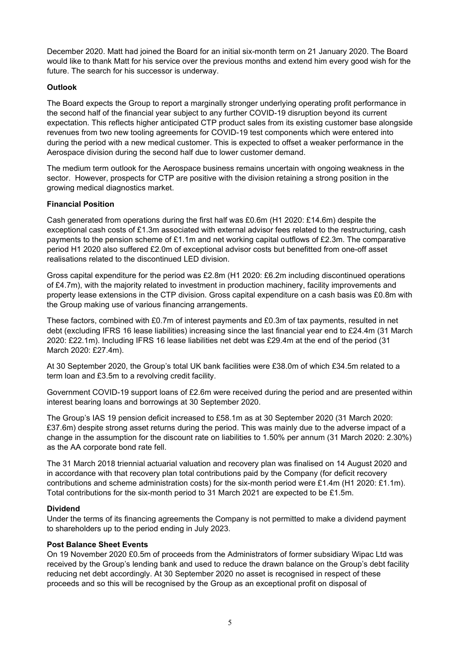December 2020. Matt had joined the Board for an initial six-month term on 21 January 2020. The Board would like to thank Matt for his service over the previous months and extend him every good wish for the future. The search for his successor is underway.

# **Outlook**

The Board expects the Group to report a marginally stronger underlying operating profit performance in the second half of the financial year subject to any further COVID-19 disruption beyond its current expectation. This reflects higher anticipated CTP product sales from its existing customer base alongside revenues from two new tooling agreements for COVID-19 test components which were entered into during the period with a new medical customer. This is expected to offset a weaker performance in the Aerospace division during the second half due to lower customer demand.

The medium term outlook for the Aerospace business remains uncertain with ongoing weakness in the sector. However, prospects for CTP are positive with the division retaining a strong position in the growing medical diagnostics market.

# **Financial Position**

Cash generated from operations during the first half was £0.6m (H1 2020: £14.6m) despite the exceptional cash costs of £1.3m associated with external advisor fees related to the restructuring, cash payments to the pension scheme of £1.1m and net working capital outflows of £2.3m. The comparative period H1 2020 also suffered £2.0m of exceptional advisor costs but benefitted from one-off asset realisations related to the discontinued LED division.

Gross capital expenditure for the period was £2.8m (H1 2020: £6.2m including discontinued operations of £4.7m), with the majority related to investment in production machinery, facility improvements and property lease extensions in the CTP division. Gross capital expenditure on a cash basis was £0.8m with the Group making use of various financing arrangements.

These factors, combined with £0.7m of interest payments and £0.3m of tax payments, resulted in net debt (excluding IFRS 16 lease liabilities) increasing since the last financial year end to £24.4m (31 March 2020: £22.1m). Including IFRS 16 lease liabilities net debt was £29.4m at the end of the period (31 March 2020: £27.4m).

At 30 September 2020, the Group's total UK bank facilities were £38.0m of which £34.5m related to a term loan and £3.5m to a revolving credit facility.

Government COVID-19 support loans of £2.6m were received during the period and are presented within interest bearing loans and borrowings at 30 September 2020.

The Group's IAS 19 pension deficit increased to £58.1m as at 30 September 2020 (31 March 2020: £37.6m) despite strong asset returns during the period. This was mainly due to the adverse impact of a change in the assumption for the discount rate on liabilities to 1.50% per annum (31 March 2020: 2.30%) as the AA corporate bond rate fell.

The 31 March 2018 triennial actuarial valuation and recovery plan was finalised on 14 August 2020 and in accordance with that recovery plan total contributions paid by the Company (for deficit recovery contributions and scheme administration costs) for the six-month period were £1.4m (H1 2020: £1.1m). Total contributions for the six-month period to 31 March 2021 are expected to be £1.5m.

# **Dividend**

Under the terms of its financing agreements the Company is not permitted to make a dividend payment to shareholders up to the period ending in July 2023.

# **Post Balance Sheet Events**

On 19 November 2020 £0.5m of proceeds from the Administrators of former subsidiary Wipac Ltd was received by the Group's lending bank and used to reduce the drawn balance on the Group's debt facility reducing net debt accordingly. At 30 September 2020 no asset is recognised in respect of these proceeds and so this will be recognised by the Group as an exceptional profit on disposal of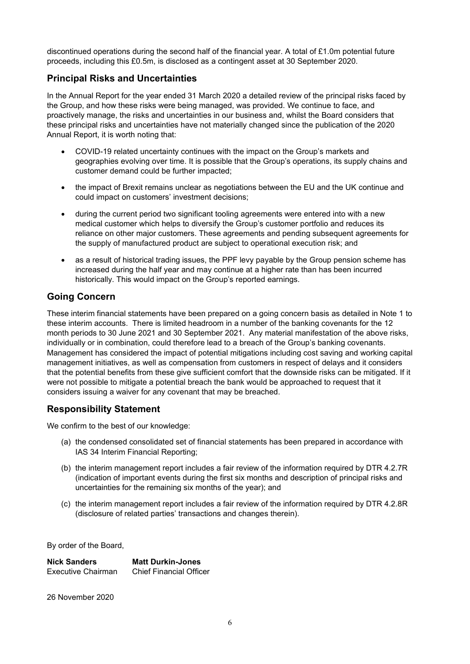discontinued operations during the second half of the financial year. A total of £1.0m potential future proceeds, including this £0.5m, is disclosed as a contingent asset at 30 September 2020.

# **Principal Risks and Uncertainties**

In the Annual Report for the year ended 31 March 2020 a detailed review of the principal risks faced by the Group, and how these risks were being managed, was provided. We continue to face, and proactively manage, the risks and uncertainties in our business and, whilst the Board considers that these principal risks and uncertainties have not materially changed since the publication of the 2020 Annual Report, it is worth noting that:

- COVID-19 related uncertainty continues with the impact on the Group's markets and geographies evolving over time. It is possible that the Group's operations, its supply chains and customer demand could be further impacted;
- the impact of Brexit remains unclear as negotiations between the EU and the UK continue and could impact on customers' investment decisions;
- during the current period two significant tooling agreements were entered into with a new medical customer which helps to diversify the Group's customer portfolio and reduces its reliance on other major customers. These agreements and pending subsequent agreements for the supply of manufactured product are subject to operational execution risk; and
- as a result of historical trading issues, the PPF levy payable by the Group pension scheme has increased during the half year and may continue at a higher rate than has been incurred historically. This would impact on the Group's reported earnings.

# **Going Concern**

These interim financial statements have been prepared on a going concern basis as detailed in Note 1 to these interim accounts. There is limited headroom in a number of the banking covenants for the 12 month periods to 30 June 2021 and 30 September 2021. Any material manifestation of the above risks, individually or in combination, could therefore lead to a breach of the Group's banking covenants. Management has considered the impact of potential mitigations including cost saving and working capital management initiatives, as well as compensation from customers in respect of delays and it considers that the potential benefits from these give sufficient comfort that the downside risks can be mitigated. If it were not possible to mitigate a potential breach the bank would be approached to request that it considers issuing a waiver for any covenant that may be breached.

# **Responsibility Statement**

We confirm to the best of our knowledge:

- (a) the condensed consolidated set of financial statements has been prepared in accordance with IAS 34 Interim Financial Reporting;
- (b) the interim management report includes a fair review of the information required by DTR 4.2.7R (indication of important events during the first six months and description of principal risks and uncertainties for the remaining six months of the year); and
- (c) the interim management report includes a fair review of the information required by DTR 4.2.8R (disclosure of related parties' transactions and changes therein).

By order of the Board,

| <b>Nick Sanders</b> | <b>Matt Durkin-Jones</b>       |
|---------------------|--------------------------------|
| Executive Chairman  | <b>Chief Financial Officer</b> |

26 November 2020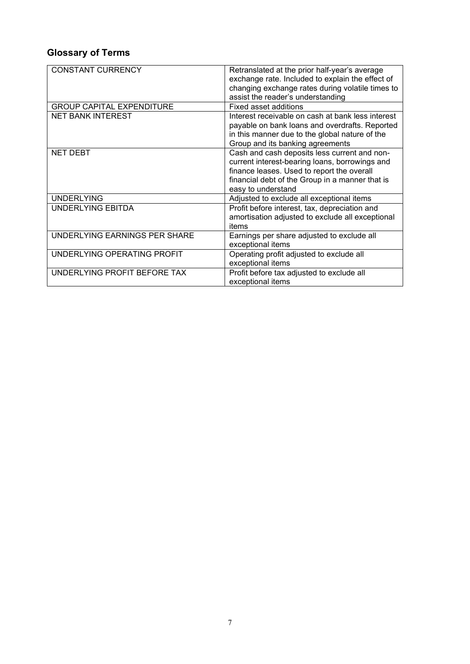# **Glossary of Terms**

| <b>CONSTANT CURRENCY</b>         | Retranslated at the prior half-year's average     |
|----------------------------------|---------------------------------------------------|
|                                  | exchange rate. Included to explain the effect of  |
|                                  | changing exchange rates during volatile times to  |
|                                  | assist the reader's understanding                 |
|                                  | <b>Fixed asset additions</b>                      |
| <b>GROUP CAPITAL EXPENDITURE</b> |                                                   |
| <b>NET BANK INTEREST</b>         | Interest receivable on cash at bank less interest |
|                                  | payable on bank loans and overdrafts. Reported    |
|                                  | in this manner due to the global nature of the    |
|                                  | Group and its banking agreements                  |
| <b>NET DEBT</b>                  | Cash and cash deposits less current and non-      |
|                                  | current interest-bearing loans, borrowings and    |
|                                  | finance leases. Used to report the overall        |
|                                  | financial debt of the Group in a manner that is   |
|                                  | easy to understand                                |
| <b>UNDERLYING</b>                | Adjusted to exclude all exceptional items         |
| UNDERLYING EBITDA                | Profit before interest, tax, depreciation and     |
|                                  | amortisation adjusted to exclude all exceptional  |
|                                  | items                                             |
| UNDERLYING EARNINGS PER SHARE    | Earnings per share adjusted to exclude all        |
|                                  | exceptional items                                 |
| UNDERLYING OPERATING PROFIT      | Operating profit adjusted to exclude all          |
|                                  | exceptional items                                 |
| UNDERLYING PROFIT BEFORE TAX     | Profit before tax adjusted to exclude all         |
|                                  | exceptional items                                 |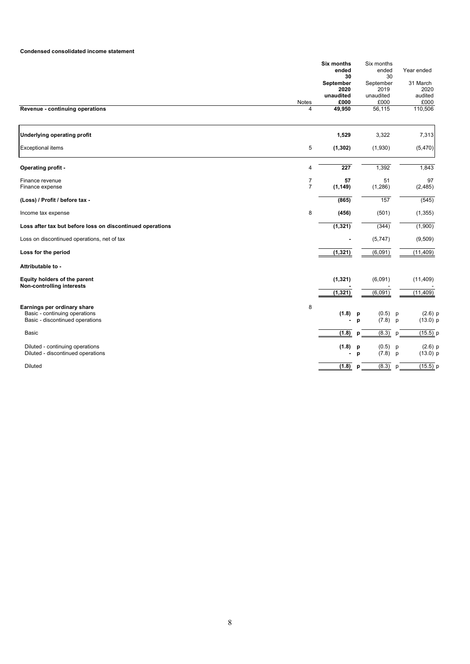## **Condensed consolidated income statement**

|                                                                                                 |                | <b>Six months</b>       | Six months               |                                   |
|-------------------------------------------------------------------------------------------------|----------------|-------------------------|--------------------------|-----------------------------------|
|                                                                                                 |                | ended                   | ended                    | Year ended                        |
|                                                                                                 |                | 30                      | 30                       |                                   |
|                                                                                                 |                | September<br>2020       | September<br>2019        | 31 March<br>2020                  |
|                                                                                                 |                | unaudited               | unaudited                | audited                           |
|                                                                                                 | Notes          | £000                    | £000                     | £000                              |
| Revenue - continuing operations                                                                 | 4              | 49,950                  | 56,115                   | 110,506                           |
| <b>Underlying operating profit</b>                                                              |                | 1,529                   | 3,322                    | 7,313                             |
| <b>Exceptional items</b>                                                                        | 5              | (1, 302)                | (1,930)                  | (5,470)                           |
| Operating profit -                                                                              | 4              | $\overline{227}$        | 1,392                    | 1,843                             |
| Finance revenue                                                                                 | 7              | 57                      | 51                       | 97                                |
| Finance expense                                                                                 | $\overline{7}$ | (1, 149)                | (1,286)                  | (2, 485)                          |
| (Loss) / Profit / before tax -                                                                  |                | (865)                   | 157                      | (545)                             |
| Income tax expense                                                                              | 8              | (456)                   | (501)                    | (1, 355)                          |
| Loss after tax but before loss on discontinued operations                                       |                | (1, 321)                | (344)                    | (1,900)                           |
| Loss on discontinued operations, net of tax                                                     |                |                         | (5,747)                  | (9, 509)                          |
| Loss for the period                                                                             |                | (1, 321)                | (6,091)                  | (11, 409)                         |
| Attributable to -                                                                               |                |                         |                          |                                   |
| Equity holders of the parent<br>Non-controlling interests                                       |                | (1, 321)                | (6,091)                  | (11, 409)                         |
|                                                                                                 |                | (1, 321)                | (6,091)                  | (11, 409)                         |
| Earnings per ordinary share<br>Basic - continuing operations<br>Basic - discontinued operations | 8              | (1.8)<br>$\blacksquare$ | (0.5)<br>p<br>(7.8)<br>p | $(2.6)$ p<br>p<br>$(13.0)$ p<br>p |
| <b>Basic</b>                                                                                    |                | (1.8)                   | (8.3)                    | (15.5)                            |
|                                                                                                 |                |                         | p                        | p                                 |
| Diluted - continuing operations<br>Diluted - discontinued operations                            |                | (1.8)<br>$\blacksquare$ | (0.5)<br>p<br>(7.8)<br>p | $(2.6)$ p<br>р<br>$(13.0)$ p<br>p |
| <b>Diluted</b>                                                                                  |                | (1.8)                   | (8.3)<br>p               | $(15.5)$ p<br>p                   |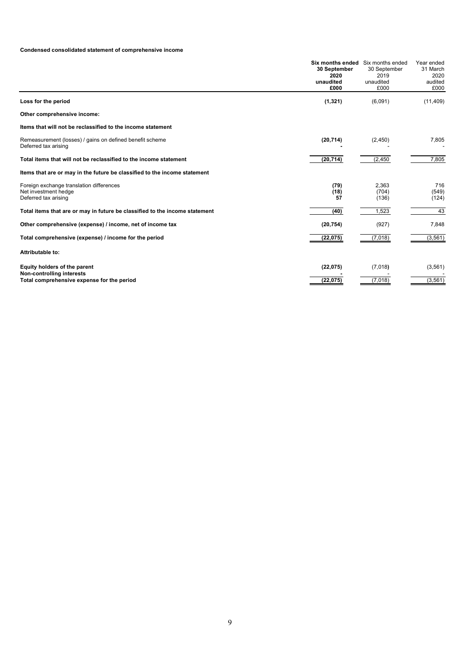# **Condensed consolidated statement of comprehensive income**

|                                                                                                         | Six months ended Six months ended<br>30 September<br>2020<br>unaudited<br>£000 | 30 September<br>2019<br>unaudited<br>£000 | Year ended<br>31 March<br>2020<br>audited<br>£000 |
|---------------------------------------------------------------------------------------------------------|--------------------------------------------------------------------------------|-------------------------------------------|---------------------------------------------------|
| Loss for the period                                                                                     | (1, 321)                                                                       | (6,091)                                   | (11, 409)                                         |
| Other comprehensive income:                                                                             |                                                                                |                                           |                                                   |
| Items that will not be reclassified to the income statement                                             |                                                                                |                                           |                                                   |
| Remeasurement (losses) / gains on defined benefit scheme<br>Deferred tax arising                        | (20, 714)                                                                      | (2,450)                                   | 7,805                                             |
| Total items that will not be reclassified to the income statement                                       | (20, 714)                                                                      | (2, 450)                                  | 7,805                                             |
| Items that are or may in the future be classified to the income statement                               |                                                                                |                                           |                                                   |
| Foreign exchange translation differences<br>Net investment hedge<br>Deferred tax arising                | (79)<br>(18)<br>57                                                             | 2,363<br>(704)<br>(136)                   | 716<br>(549)<br>(124)                             |
| Total items that are or may in future be classified to the income statement                             | (40)                                                                           | 1,523                                     | 43                                                |
| Other comprehensive (expense) / income, net of income tax                                               | (20, 754)                                                                      | (927)                                     | 7,848                                             |
| Total comprehensive (expense) / income for the period                                                   | (22, 075)                                                                      | (7,018)                                   | (3, 561)                                          |
| Attributable to:                                                                                        |                                                                                |                                           |                                                   |
| Equity holders of the parent<br>Non-controlling interests<br>Total comprehensive expense for the period | (22, 075)<br>(22,075)                                                          | (7,018)<br>(7,018)                        | (3, 561)<br>(3, 561)                              |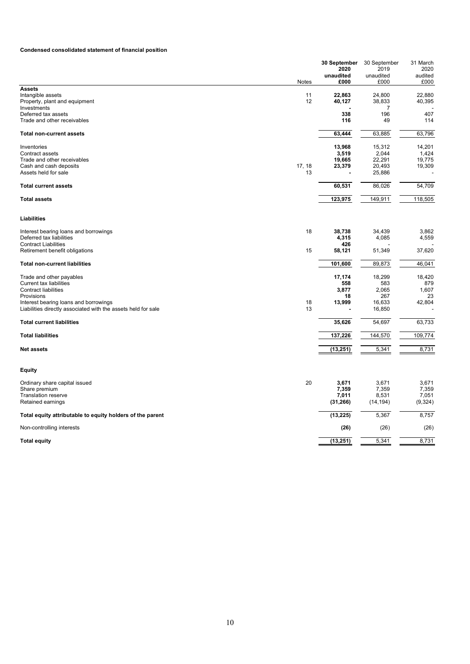# **Condensed consolidated statement of financial position**

| <b>Assets</b><br>Intangible assets<br>11<br>22,863<br>24,800<br>22,880<br>Property, plant and equipment<br>12<br>40,127<br>38,833<br>40,395<br>Investments<br>7<br>407<br>338<br>196<br>Deferred tax assets<br>Trade and other receivables<br>49<br>116<br>114<br>63,444<br>63,885<br>63,796<br><b>Total non-current assets</b><br>Inventories<br>13,968<br>15,312<br>14,201<br>3,519<br>2,044<br>Contract assets<br>1,424<br>19,665<br>22,291<br>19,775<br>Trade and other receivables<br>17, 18<br>20,493<br>Cash and cash deposits<br>23,379<br>19,309<br>Assets held for sale<br>25,886<br>13<br>60,531<br>86,026<br>54,709<br><b>Total current assets</b><br>123,975<br>149,911<br>118,505<br><b>Total assets</b><br>Liabilities<br>18<br>38,738<br>34,439<br>3,862<br>Interest bearing loans and borrowings<br>Deferred tax liabilities<br>4,315<br>4,085<br>4,559<br><b>Contract Liabilities</b><br>426<br>Retirement benefit obligations<br>15<br>51,349<br>37,620<br>58,121<br>101,600<br>46,041<br><b>Total non-current liabilities</b><br>89,873<br>Trade and other payables<br>17,174<br>18,299<br>18,420<br><b>Current tax liabilities</b><br>558<br>583<br>879<br><b>Contract liabilities</b><br>3,877<br>2,065<br>1,607<br>Provisions<br>18<br>267<br>23<br>Interest bearing loans and borrowings<br>18<br>13,999<br>16,633<br>42,804<br>Liabilities directly associated with the assets held for sale<br>13<br>16,850<br><b>Total current liabilities</b><br>35,626<br>54,697<br>63,733<br><b>Total liabilities</b><br>137,226<br>144,570<br>109,774<br>8,731<br>(13, 251)<br>5,341<br><b>Net assets</b><br>Equity<br>20<br>3,671<br>Ordinary share capital issued<br>3,671<br>3,671<br>7,359<br>7,359<br>7,359<br>Share premium<br>7,051<br>Translation reserve<br>7,011<br>8,531<br>(14, 194)<br>Retained earnings<br>(31, 266)<br>(9,324)<br>5,367<br>8,757<br>Total equity attributable to equity holders of the parent<br>(13, 225)<br>Non-controlling interests<br>(26)<br>(26)<br>(26)<br>5,341<br>(13, 251)<br>8,731<br><b>Total equity</b> | Notes | 30 September<br>2020<br>unaudited<br>£000 | 30 September<br>2019<br>unaudited<br>£000 | 31 March<br>2020<br>audited<br>£000 |
|---------------------------------------------------------------------------------------------------------------------------------------------------------------------------------------------------------------------------------------------------------------------------------------------------------------------------------------------------------------------------------------------------------------------------------------------------------------------------------------------------------------------------------------------------------------------------------------------------------------------------------------------------------------------------------------------------------------------------------------------------------------------------------------------------------------------------------------------------------------------------------------------------------------------------------------------------------------------------------------------------------------------------------------------------------------------------------------------------------------------------------------------------------------------------------------------------------------------------------------------------------------------------------------------------------------------------------------------------------------------------------------------------------------------------------------------------------------------------------------------------------------------------------------------------------------------------------------------------------------------------------------------------------------------------------------------------------------------------------------------------------------------------------------------------------------------------------------------------------------------------------------------------------------------------------------------------------------------------------------------------------------------------------------------------------------------|-------|-------------------------------------------|-------------------------------------------|-------------------------------------|
|                                                                                                                                                                                                                                                                                                                                                                                                                                                                                                                                                                                                                                                                                                                                                                                                                                                                                                                                                                                                                                                                                                                                                                                                                                                                                                                                                                                                                                                                                                                                                                                                                                                                                                                                                                                                                                                                                                                                                                                                                                                                     |       |                                           |                                           |                                     |
|                                                                                                                                                                                                                                                                                                                                                                                                                                                                                                                                                                                                                                                                                                                                                                                                                                                                                                                                                                                                                                                                                                                                                                                                                                                                                                                                                                                                                                                                                                                                                                                                                                                                                                                                                                                                                                                                                                                                                                                                                                                                     |       |                                           |                                           |                                     |
|                                                                                                                                                                                                                                                                                                                                                                                                                                                                                                                                                                                                                                                                                                                                                                                                                                                                                                                                                                                                                                                                                                                                                                                                                                                                                                                                                                                                                                                                                                                                                                                                                                                                                                                                                                                                                                                                                                                                                                                                                                                                     |       |                                           |                                           |                                     |
|                                                                                                                                                                                                                                                                                                                                                                                                                                                                                                                                                                                                                                                                                                                                                                                                                                                                                                                                                                                                                                                                                                                                                                                                                                                                                                                                                                                                                                                                                                                                                                                                                                                                                                                                                                                                                                                                                                                                                                                                                                                                     |       |                                           |                                           |                                     |
|                                                                                                                                                                                                                                                                                                                                                                                                                                                                                                                                                                                                                                                                                                                                                                                                                                                                                                                                                                                                                                                                                                                                                                                                                                                                                                                                                                                                                                                                                                                                                                                                                                                                                                                                                                                                                                                                                                                                                                                                                                                                     |       |                                           |                                           |                                     |
|                                                                                                                                                                                                                                                                                                                                                                                                                                                                                                                                                                                                                                                                                                                                                                                                                                                                                                                                                                                                                                                                                                                                                                                                                                                                                                                                                                                                                                                                                                                                                                                                                                                                                                                                                                                                                                                                                                                                                                                                                                                                     |       |                                           |                                           |                                     |
|                                                                                                                                                                                                                                                                                                                                                                                                                                                                                                                                                                                                                                                                                                                                                                                                                                                                                                                                                                                                                                                                                                                                                                                                                                                                                                                                                                                                                                                                                                                                                                                                                                                                                                                                                                                                                                                                                                                                                                                                                                                                     |       |                                           |                                           |                                     |
|                                                                                                                                                                                                                                                                                                                                                                                                                                                                                                                                                                                                                                                                                                                                                                                                                                                                                                                                                                                                                                                                                                                                                                                                                                                                                                                                                                                                                                                                                                                                                                                                                                                                                                                                                                                                                                                                                                                                                                                                                                                                     |       |                                           |                                           |                                     |
|                                                                                                                                                                                                                                                                                                                                                                                                                                                                                                                                                                                                                                                                                                                                                                                                                                                                                                                                                                                                                                                                                                                                                                                                                                                                                                                                                                                                                                                                                                                                                                                                                                                                                                                                                                                                                                                                                                                                                                                                                                                                     |       |                                           |                                           |                                     |
|                                                                                                                                                                                                                                                                                                                                                                                                                                                                                                                                                                                                                                                                                                                                                                                                                                                                                                                                                                                                                                                                                                                                                                                                                                                                                                                                                                                                                                                                                                                                                                                                                                                                                                                                                                                                                                                                                                                                                                                                                                                                     |       |                                           |                                           |                                     |
|                                                                                                                                                                                                                                                                                                                                                                                                                                                                                                                                                                                                                                                                                                                                                                                                                                                                                                                                                                                                                                                                                                                                                                                                                                                                                                                                                                                                                                                                                                                                                                                                                                                                                                                                                                                                                                                                                                                                                                                                                                                                     |       |                                           |                                           |                                     |
|                                                                                                                                                                                                                                                                                                                                                                                                                                                                                                                                                                                                                                                                                                                                                                                                                                                                                                                                                                                                                                                                                                                                                                                                                                                                                                                                                                                                                                                                                                                                                                                                                                                                                                                                                                                                                                                                                                                                                                                                                                                                     |       |                                           |                                           |                                     |
|                                                                                                                                                                                                                                                                                                                                                                                                                                                                                                                                                                                                                                                                                                                                                                                                                                                                                                                                                                                                                                                                                                                                                                                                                                                                                                                                                                                                                                                                                                                                                                                                                                                                                                                                                                                                                                                                                                                                                                                                                                                                     |       |                                           |                                           |                                     |
|                                                                                                                                                                                                                                                                                                                                                                                                                                                                                                                                                                                                                                                                                                                                                                                                                                                                                                                                                                                                                                                                                                                                                                                                                                                                                                                                                                                                                                                                                                                                                                                                                                                                                                                                                                                                                                                                                                                                                                                                                                                                     |       |                                           |                                           |                                     |
|                                                                                                                                                                                                                                                                                                                                                                                                                                                                                                                                                                                                                                                                                                                                                                                                                                                                                                                                                                                                                                                                                                                                                                                                                                                                                                                                                                                                                                                                                                                                                                                                                                                                                                                                                                                                                                                                                                                                                                                                                                                                     |       |                                           |                                           |                                     |
|                                                                                                                                                                                                                                                                                                                                                                                                                                                                                                                                                                                                                                                                                                                                                                                                                                                                                                                                                                                                                                                                                                                                                                                                                                                                                                                                                                                                                                                                                                                                                                                                                                                                                                                                                                                                                                                                                                                                                                                                                                                                     |       |                                           |                                           |                                     |
|                                                                                                                                                                                                                                                                                                                                                                                                                                                                                                                                                                                                                                                                                                                                                                                                                                                                                                                                                                                                                                                                                                                                                                                                                                                                                                                                                                                                                                                                                                                                                                                                                                                                                                                                                                                                                                                                                                                                                                                                                                                                     |       |                                           |                                           |                                     |
|                                                                                                                                                                                                                                                                                                                                                                                                                                                                                                                                                                                                                                                                                                                                                                                                                                                                                                                                                                                                                                                                                                                                                                                                                                                                                                                                                                                                                                                                                                                                                                                                                                                                                                                                                                                                                                                                                                                                                                                                                                                                     |       |                                           |                                           |                                     |
|                                                                                                                                                                                                                                                                                                                                                                                                                                                                                                                                                                                                                                                                                                                                                                                                                                                                                                                                                                                                                                                                                                                                                                                                                                                                                                                                                                                                                                                                                                                                                                                                                                                                                                                                                                                                                                                                                                                                                                                                                                                                     |       |                                           |                                           |                                     |
|                                                                                                                                                                                                                                                                                                                                                                                                                                                                                                                                                                                                                                                                                                                                                                                                                                                                                                                                                                                                                                                                                                                                                                                                                                                                                                                                                                                                                                                                                                                                                                                                                                                                                                                                                                                                                                                                                                                                                                                                                                                                     |       |                                           |                                           |                                     |
|                                                                                                                                                                                                                                                                                                                                                                                                                                                                                                                                                                                                                                                                                                                                                                                                                                                                                                                                                                                                                                                                                                                                                                                                                                                                                                                                                                                                                                                                                                                                                                                                                                                                                                                                                                                                                                                                                                                                                                                                                                                                     |       |                                           |                                           |                                     |
|                                                                                                                                                                                                                                                                                                                                                                                                                                                                                                                                                                                                                                                                                                                                                                                                                                                                                                                                                                                                                                                                                                                                                                                                                                                                                                                                                                                                                                                                                                                                                                                                                                                                                                                                                                                                                                                                                                                                                                                                                                                                     |       |                                           |                                           |                                     |
|                                                                                                                                                                                                                                                                                                                                                                                                                                                                                                                                                                                                                                                                                                                                                                                                                                                                                                                                                                                                                                                                                                                                                                                                                                                                                                                                                                                                                                                                                                                                                                                                                                                                                                                                                                                                                                                                                                                                                                                                                                                                     |       |                                           |                                           |                                     |
|                                                                                                                                                                                                                                                                                                                                                                                                                                                                                                                                                                                                                                                                                                                                                                                                                                                                                                                                                                                                                                                                                                                                                                                                                                                                                                                                                                                                                                                                                                                                                                                                                                                                                                                                                                                                                                                                                                                                                                                                                                                                     |       |                                           |                                           |                                     |
|                                                                                                                                                                                                                                                                                                                                                                                                                                                                                                                                                                                                                                                                                                                                                                                                                                                                                                                                                                                                                                                                                                                                                                                                                                                                                                                                                                                                                                                                                                                                                                                                                                                                                                                                                                                                                                                                                                                                                                                                                                                                     |       |                                           |                                           |                                     |
|                                                                                                                                                                                                                                                                                                                                                                                                                                                                                                                                                                                                                                                                                                                                                                                                                                                                                                                                                                                                                                                                                                                                                                                                                                                                                                                                                                                                                                                                                                                                                                                                                                                                                                                                                                                                                                                                                                                                                                                                                                                                     |       |                                           |                                           |                                     |
|                                                                                                                                                                                                                                                                                                                                                                                                                                                                                                                                                                                                                                                                                                                                                                                                                                                                                                                                                                                                                                                                                                                                                                                                                                                                                                                                                                                                                                                                                                                                                                                                                                                                                                                                                                                                                                                                                                                                                                                                                                                                     |       |                                           |                                           |                                     |
|                                                                                                                                                                                                                                                                                                                                                                                                                                                                                                                                                                                                                                                                                                                                                                                                                                                                                                                                                                                                                                                                                                                                                                                                                                                                                                                                                                                                                                                                                                                                                                                                                                                                                                                                                                                                                                                                                                                                                                                                                                                                     |       |                                           |                                           |                                     |
|                                                                                                                                                                                                                                                                                                                                                                                                                                                                                                                                                                                                                                                                                                                                                                                                                                                                                                                                                                                                                                                                                                                                                                                                                                                                                                                                                                                                                                                                                                                                                                                                                                                                                                                                                                                                                                                                                                                                                                                                                                                                     |       |                                           |                                           |                                     |
|                                                                                                                                                                                                                                                                                                                                                                                                                                                                                                                                                                                                                                                                                                                                                                                                                                                                                                                                                                                                                                                                                                                                                                                                                                                                                                                                                                                                                                                                                                                                                                                                                                                                                                                                                                                                                                                                                                                                                                                                                                                                     |       |                                           |                                           |                                     |
|                                                                                                                                                                                                                                                                                                                                                                                                                                                                                                                                                                                                                                                                                                                                                                                                                                                                                                                                                                                                                                                                                                                                                                                                                                                                                                                                                                                                                                                                                                                                                                                                                                                                                                                                                                                                                                                                                                                                                                                                                                                                     |       |                                           |                                           |                                     |
|                                                                                                                                                                                                                                                                                                                                                                                                                                                                                                                                                                                                                                                                                                                                                                                                                                                                                                                                                                                                                                                                                                                                                                                                                                                                                                                                                                                                                                                                                                                                                                                                                                                                                                                                                                                                                                                                                                                                                                                                                                                                     |       |                                           |                                           |                                     |
|                                                                                                                                                                                                                                                                                                                                                                                                                                                                                                                                                                                                                                                                                                                                                                                                                                                                                                                                                                                                                                                                                                                                                                                                                                                                                                                                                                                                                                                                                                                                                                                                                                                                                                                                                                                                                                                                                                                                                                                                                                                                     |       |                                           |                                           |                                     |
|                                                                                                                                                                                                                                                                                                                                                                                                                                                                                                                                                                                                                                                                                                                                                                                                                                                                                                                                                                                                                                                                                                                                                                                                                                                                                                                                                                                                                                                                                                                                                                                                                                                                                                                                                                                                                                                                                                                                                                                                                                                                     |       |                                           |                                           |                                     |
|                                                                                                                                                                                                                                                                                                                                                                                                                                                                                                                                                                                                                                                                                                                                                                                                                                                                                                                                                                                                                                                                                                                                                                                                                                                                                                                                                                                                                                                                                                                                                                                                                                                                                                                                                                                                                                                                                                                                                                                                                                                                     |       |                                           |                                           |                                     |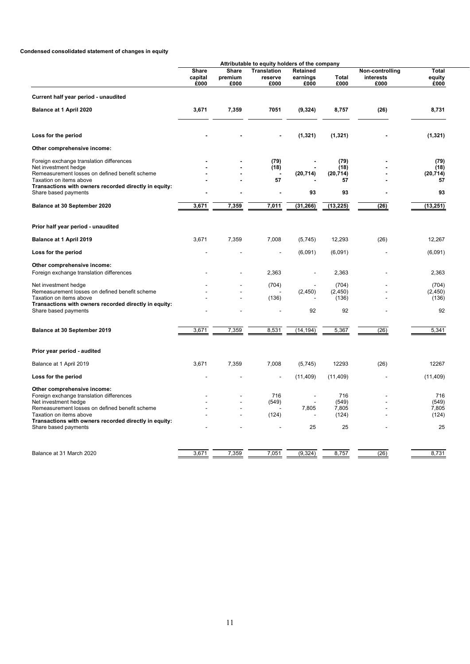# **Condensed consolidated statement of changes in equity**

|                                                                                                                                                                                                                                                               |                                 |                          | Attributable to equity holders of the company |                                         |                                      |                                      |                                      |
|---------------------------------------------------------------------------------------------------------------------------------------------------------------------------------------------------------------------------------------------------------------|---------------------------------|--------------------------|-----------------------------------------------|-----------------------------------------|--------------------------------------|--------------------------------------|--------------------------------------|
|                                                                                                                                                                                                                                                               | <b>Share</b><br>capital<br>£000 | Share<br>premium<br>£000 | <b>Translation</b><br>reserve<br>£000         | Retained<br>earnings<br>£000            | Total<br>£000                        | Non-controlling<br>interests<br>£000 | <b>Total</b><br>equity<br>£000       |
| Current half year period - unaudited                                                                                                                                                                                                                          |                                 |                          |                                               |                                         |                                      |                                      |                                      |
| Balance at 1 April 2020                                                                                                                                                                                                                                       | 3,671                           | 7,359                    | 7051                                          | (9, 324)                                | 8,757                                | (26)                                 | 8,731                                |
| Loss for the period                                                                                                                                                                                                                                           |                                 |                          |                                               | (1, 321)                                | (1, 321)                             |                                      | (1, 321)                             |
| Other comprehensive income:                                                                                                                                                                                                                                   |                                 |                          |                                               |                                         |                                      |                                      |                                      |
| Foreign exchange translation differences<br>Net investment hedge<br>Remeasurement losses on defined benefit scheme<br>Taxation on items above                                                                                                                 |                                 |                          | (79)<br>(18)<br>57                            | (20, 714)                               | (79)<br>(18)<br>(20, 714)<br>57      |                                      | (79)<br>(18)<br>(20, 714)<br>57      |
| Transactions with owners recorded directly in equity:<br>Share based payments                                                                                                                                                                                 |                                 |                          |                                               | 93                                      | 93                                   |                                      | 93                                   |
| Balance at 30 September 2020                                                                                                                                                                                                                                  | 3,671                           | 7,359                    | 7,011                                         | (31, 266)                               | (13, 225)                            | (26)                                 | (13, 251)                            |
| Prior half year period - unaudited                                                                                                                                                                                                                            |                                 |                          |                                               |                                         |                                      |                                      |                                      |
| Balance at 1 April 2019                                                                                                                                                                                                                                       | 3,671                           | 7,359                    | 7,008                                         | (5,745)                                 | 12,293                               | (26)                                 | 12,267                               |
| Loss for the period                                                                                                                                                                                                                                           |                                 |                          |                                               | (6,091)                                 | (6,091)                              |                                      | (6,091)                              |
| Other comprehensive income:<br>Foreign exchange translation differences                                                                                                                                                                                       |                                 |                          | 2,363                                         |                                         | 2,363                                |                                      | 2,363                                |
| Net investment hedge<br>Remeasurement losses on defined benefit scheme<br>Taxation on items above<br>Transactions with owners recorded directly in equity:                                                                                                    |                                 |                          | (704)<br>(136)                                | (2, 450)                                | (704)<br>(2, 450)<br>(136)           |                                      | (704)<br>(2, 450)<br>(136)           |
| Share based payments                                                                                                                                                                                                                                          |                                 |                          |                                               | 92                                      | 92                                   |                                      | 92                                   |
| Balance at 30 September 2019                                                                                                                                                                                                                                  | 3,671                           | 7,359                    | 8,531                                         | (14, 194)                               | 5,367                                | (26)                                 | 5,341                                |
| Prior year period - audited                                                                                                                                                                                                                                   |                                 |                          |                                               |                                         |                                      |                                      |                                      |
| Balance at 1 April 2019                                                                                                                                                                                                                                       | 3,671                           | 7,359                    | 7,008                                         | (5,745)                                 | 12293                                | (26)                                 | 12267                                |
| Loss for the period                                                                                                                                                                                                                                           |                                 |                          |                                               | (11, 409)                               | (11, 409)                            |                                      | (11, 409)                            |
| Other comprehensive income:<br>Foreign exchange translation differences<br>Net investment hedge<br>Remeasurement losses on defined benefit scheme<br>Taxation on items above<br>Transactions with owners recorded directly in equity:<br>Share based payments |                                 |                          | 716<br>(549)<br>(124)                         | $\overline{\phantom{a}}$<br>7,805<br>25 | 716<br>(549)<br>7,805<br>(124)<br>25 |                                      | 716<br>(549)<br>7,805<br>(124)<br>25 |
| Balance at 31 March 2020                                                                                                                                                                                                                                      | 3,671                           | 7,359                    | 7,051                                         | (9, 324)                                | 8,757                                | (26)                                 | 8,731                                |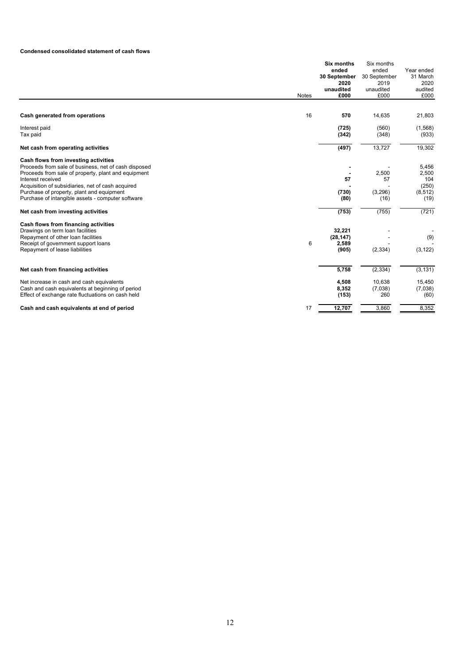## **Condensed consolidated statement of cash flows**

|                                                                                                                                                                                                                                                                                                                                                                                                                                                   | Notes | <b>Six months</b><br>ended<br>30 September<br>2020<br>unaudited<br>£000 | Six months<br>ended<br>30 September<br>2019<br>unaudited<br>£000 | Year ended<br>31 March<br>2020<br>audited<br>£000           |
|---------------------------------------------------------------------------------------------------------------------------------------------------------------------------------------------------------------------------------------------------------------------------------------------------------------------------------------------------------------------------------------------------------------------------------------------------|-------|-------------------------------------------------------------------------|------------------------------------------------------------------|-------------------------------------------------------------|
|                                                                                                                                                                                                                                                                                                                                                                                                                                                   |       |                                                                         |                                                                  |                                                             |
| Cash generated from operations                                                                                                                                                                                                                                                                                                                                                                                                                    | 16    | 570                                                                     | 14,635                                                           | 21,803                                                      |
| Interest paid<br>Tax paid                                                                                                                                                                                                                                                                                                                                                                                                                         |       | (725)<br>(342)                                                          | (560)<br>(348)                                                   | (1,568)<br>(933)                                            |
| Net cash from operating activities                                                                                                                                                                                                                                                                                                                                                                                                                |       | (497)                                                                   | 13,727                                                           | 19,302                                                      |
| Cash flows from investing activities<br>Proceeds from sale of business, net of cash disposed<br>Proceeds from sale of property, plant and equipment<br>Interest received<br>Acquisition of subsidiaries, net of cash acquired<br>Purchase of property, plant and equipment<br>Purchase of intangible assets - computer software<br>Net cash from investing activities<br>Cash flows from financing activities<br>Drawings on term loan facilities |       | 57<br>(730)<br>(80)<br>(753)<br>32,221                                  | 2,500<br>57<br>(3,296)<br>(16)<br>(755)                          | 5,456<br>2,500<br>104<br>(250)<br>(8, 512)<br>(19)<br>(721) |
| Repayment of other loan facilities<br>Receipt of government support loans<br>Repayment of lease liabilities                                                                                                                                                                                                                                                                                                                                       | 6     | (28, 147)<br>2,589<br>(905)                                             | (2, 334)                                                         | (9)<br>(3, 122)                                             |
| Net cash from financing activities                                                                                                                                                                                                                                                                                                                                                                                                                |       | 5,758                                                                   | (2, 334)                                                         | (3, 131)                                                    |
| Net increase in cash and cash equivalents<br>Cash and cash equivalents at beginning of period<br>Effect of exchange rate fluctuations on cash held                                                                                                                                                                                                                                                                                                |       | 4,508<br>8,352<br>(153)                                                 | 10,638<br>(7,038)<br>260                                         | 15,450<br>(7,038)<br>(60)                                   |
| Cash and cash equivalents at end of period                                                                                                                                                                                                                                                                                                                                                                                                        | 17    | 12,707                                                                  | 3,860                                                            | 8,352                                                       |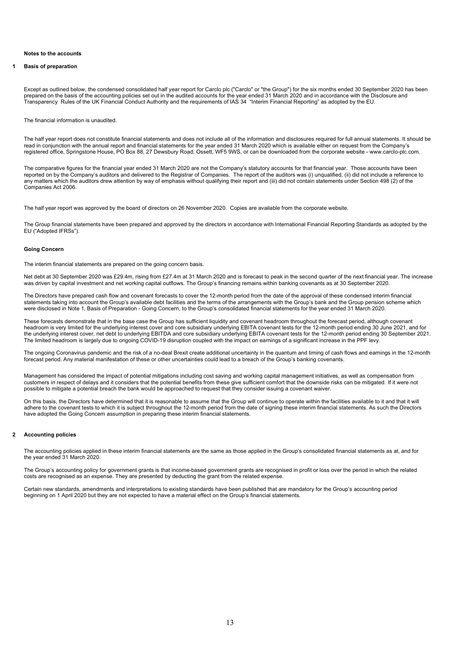## **Notes to the accounts**

## **1 Basis of preparation**

Except as outlined below, the condensed consolidated half year report for Carclo plc ("Carclo" or "the Group") for the six months ended 30 September 2020 has been prepared on the basis of the accounting policies set out in the audited accounts for the year ended 31 March 2020 and in accordance with the Disclosure and Transparency Rules of the UK Financial Conduct Authority and the requirements of IAS 34 "Interim Financial Reporting" as adopted by the EU.

The financial information is unaudited.

The half year report does not constitute financial statements and does not include all of the information and disclosures required for full annual statements. It should be read in conjunction with the annual report and financial statements for the year ended 31 March 2020 which is available either on request from the Company's registered office, Springstone House, PO Box 88, 27 Dewsbury Road, Ossett, WF5 9WS, or can be downloaded from the corporate website - www.carclo-plc.com.

The comparative figures for the financial year ended 31 March 2020 are not the Company's statutory accounts for that financial year. Those accounts have been reported on by the Company's auditors and delivered to the Registrar of Companies. The report of the auditors was (i) unqualified, (ii) did not include a reference to any matters which the auditors drew attention by way of emphasis without qualifying their report and (iii) did not contain statements under Section 498 (2) of the Companies Act 2006.

The half year report was approved by the board of directors on 26 November 2020. Copies are available from the corporate website.

The Group financial statements have been prepared and approved by the directors in accordance with International Financial Reporting Standards as adopted by the EU ("Adopted IFRSs").

#### **Going Concern**

The interim financial statements are prepared on the going concern basis.

Net debt at 30 September 2020 was £29.4m, rising from £27.4m at 31 March 2020 and is forecast to peak in the second quarter of the next financial year. The increase was driven by capital investment and net working capital outflows. The Group's financing remains within banking covenants as at 30 September 2020.

The Directors have prepared cash flow and covenant forecasts to cover the 12-month period from the date of the approval of these condensed interim financial statements taking into account the Group's available debt facilities and the terms of the arrangements with the Group's bank and the Group pension scheme which were disclosed in Note 1, Basis of Preparation - Going Concern, to the Group's consolidated financial statements for the year ended 31 March 2020.

These forecasts demonstrate that in the base case the Group has sufficient liquidity and covenant headroom throughout the forecast period, although covenant headroom is very limited for the underlying interest cover and core subsidiary underlying EBITA covenant tests for the 12-month period ending 30 June 2021, and for the underlying interest cover, net debt to underlying EBITDA and core subsidiary underlying EBITA covenant tests for the 12-month period ending 30 September 2021. The limited headroom is largely due to ongoing COVID-19 disruption coupled with the impact on earnings of a significant increase in the PPF levy.

The ongoing Coronavirus pandemic and the risk of a no-deal Brexit create additional uncertainty in the quantum and timing of cash flows and earnings in the 12-month forecast period. Any material manifestation of these or other uncertainties could lead to a breach of the Group's banking covenants.

Management has considered the impact of potential mitigations including cost saving and working capital management initiatives, as well as compensation from customers in respect of delays and it considers that the potential benefits from these give sufficient comfort that the downside risks can be mitigated. If it were not possible to mitigate a potential breach the bank would be approached to request that they consider issuing a covenant waiver.

On this basis, the Directors have determined that it is reasonable to assume that the Group will continue to operate within the facilities available to it and that it will adhere to the covenant tests to which it is subject throughout the 12-month period from the date of signing these interim financial statements. As such the Directors have adopted the Going Concern assumption in preparing these interim financial statements.

## **2 Accounting policies**

The accounting policies applied in these interim financial statements are the same as those applied in the Group's consolidated financial statements as at, and for the year ended 31 March 2020.

The Group's accounting policy for government grants is that income-based government grants are recognised in profit or loss over the period in which the related costs are recognised as an expense. They are presented by deducting the grant from the related expense.

Certain new standards, amendments and interpretations to existing standards have been published that are mandatory for the Group's accounting period beginning on 1 April 2020 but they are not expected to have a material effect on the Group's financial statements.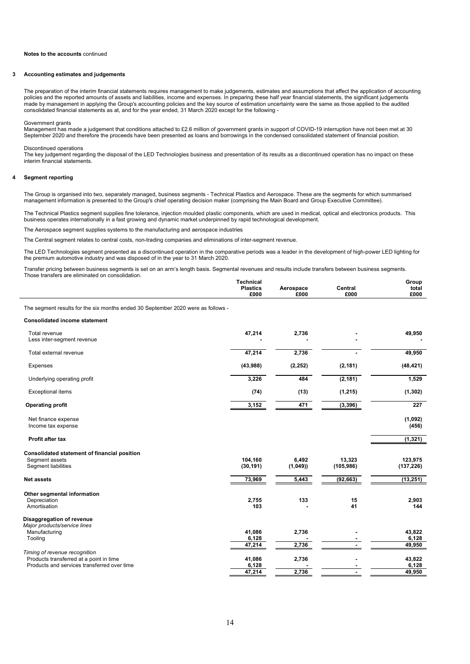## **3 Accounting estimates and judgements**

The preparation of the interim financial statements requires management to make judgements, estimates and assumptions that affect the application of accounting policies and the reported amounts of assets and liabilities, income and expenses. In preparing these half year financial statements, the significant judgements made by management in applying the Group's accounting policies and the key source of estimation uncertainty were the same as those applied to the audited consolidated financial statements as at, and for the year ended, 31 March 2020 except for the following -

#### Government grants

Management has made a judgement that conditions attached to £2.6 million of government grants in support of COVID-19 interruption have not been met at 30 September 2020 and therefore the proceeds have been presented as loans and borrowings in the condensed consolidated statement of financial position.

#### Discontinued operations

The key judgement regarding the disposal of the LED Technologies business and presentation of its results as a discontinued operation has no impact on these interim financial statements.

## **4 Segment reporting**

The Group is organised into two, separately managed, business segments - Technical Plastics and Aerospace. These are the segments for which summarised management information is presented to the Group's chief operating decision maker (comprising the Main Board and Group Executive Committee).

The Technical Plastics segment supplies fine tolerance, injection moulded plastic components, which are used in medical, optical and electronics products. This business operates internationally in a fast growing and dynamic market underpinned by rapid technological development.

The Aerospace segment supplies systems to the manufacturing and aerospace industries

The Central segment relates to central costs, non-trading companies and eliminations of inter-segment revenue.

The LED Technologies segment presented as a discontinued operation in the comparative periods was a leader in the development of high-power LED lighting for the premium automotive industry and was disposed of in the year to 31 March 2020.

Transfer pricing between business segments is set on an arm's length basis. Segmental revenues and results include transfers between business segments. Those transfers are eliminated on consolidation.

|                                                                                       | Technical<br><b>Plastics</b><br>£000 | Aerospace<br>£000 | Central<br>£000      | Group<br>total<br>£000    |
|---------------------------------------------------------------------------------------|--------------------------------------|-------------------|----------------------|---------------------------|
| The segment results for the six months ended 30 September 2020 were as follows -      |                                      |                   |                      |                           |
| <b>Consolidated income statement</b>                                                  |                                      |                   |                      |                           |
| Total revenue<br>Less inter-segment revenue                                           | 47,214                               | 2,736             |                      | 49,950                    |
| Total external revenue                                                                | 47,214                               | 2,736             |                      | 49,950                    |
| <b>Expenses</b>                                                                       | (43,988)                             | (2, 252)          | (2, 181)             | (48, 421)                 |
| Underlying operating profit                                                           | 3,226                                | 484               | (2, 181)             | 1,529                     |
| <b>Exceptional items</b>                                                              | (74)                                 | (13)              | (1, 215)             | (1, 302)                  |
| <b>Operating profit</b>                                                               | 3,152                                | 471               | (3, 396)             | 227                       |
| Net finance expense<br>Income tax expense                                             |                                      |                   |                      | (1,092)<br>(456)          |
| <b>Profit after tax</b>                                                               |                                      |                   |                      | (1, 321)                  |
| Consolidated statement of financial position<br>Segment assets<br>Segment liabilities | 104,160<br>(30, 191)                 | 6,492<br>(1,049)  | 13,323<br>(105, 986) | 123,975<br>(137, 226)     |
| Net assets                                                                            | 73,969                               | 5,443             | (92, 663)            | (13, 251)                 |
| Other segmental information<br>Depreciation<br>Amortisation                           | 2,755<br>103                         | 133               | 15<br>41             | 2,903<br>144              |
| Disaggregation of revenue<br>Major products/service lines                             |                                      |                   |                      |                           |
| Manufacturing<br>Tooling                                                              | 41,086<br>6,128<br>47,214            | 2,736<br>2,736    |                      | 43,822<br>6,128<br>49,950 |
| Timing of revenue recognition<br>Products transferred at a point in time              | 41,086                               | 2,736             |                      | 43,822                    |
| Products and services transferred over time                                           | 6,128<br>47,214                      | 2,736             |                      | 6,128<br>49,950           |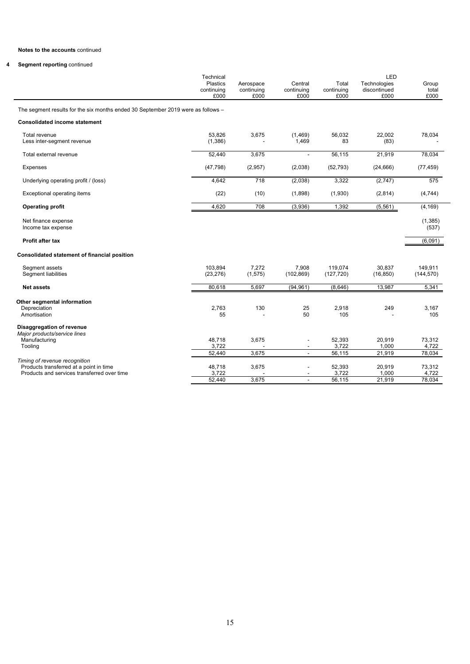# **4 Segment reporting** continued

|                                                                                                                         | Technical                             |                                 |                                                      |                             | LED                                  |                           |
|-------------------------------------------------------------------------------------------------------------------------|---------------------------------------|---------------------------------|------------------------------------------------------|-----------------------------|--------------------------------------|---------------------------|
|                                                                                                                         | <b>Plastics</b><br>continuing<br>£000 | Aerospace<br>continuing<br>£000 | Central<br>continuing<br>£000                        | Total<br>continuing<br>£000 | Technologies<br>discontinued<br>£000 | Group<br>total<br>£000    |
| The segment results for the six months ended 30 September 2019 were as follows -                                        |                                       |                                 |                                                      |                             |                                      |                           |
| <b>Consolidated income statement</b>                                                                                    |                                       |                                 |                                                      |                             |                                      |                           |
| Total revenue<br>Less inter-segment revenue                                                                             | 53.826<br>(1,386)                     | 3,675                           | (1,469)<br>1,469                                     | 56,032<br>83                | 22.002<br>(83)                       | 78,034                    |
| Total external revenue                                                                                                  | 52,440                                | 3,675                           | $\overline{a}$                                       | 56,115                      | 21,919                               | 78,034                    |
| <b>Expenses</b>                                                                                                         | (47, 798)                             | (2,957)                         | (2,038)                                              | (52, 793)                   | (24, 666)                            | (77, 459)                 |
| Underlying operating profit / (loss)                                                                                    | 4,642                                 | 718                             | (2,038)                                              | 3,322                       | (2,747)                              | 575                       |
| Exceptional operating items                                                                                             | (22)                                  | (10)                            | (1,898)                                              | (1,930)                     | (2,814)                              | (4, 744)                  |
| <b>Operating profit</b>                                                                                                 | 4,620                                 | 708                             | (3,936)                                              | 1,392                       | (5, 561)                             | (4, 169)                  |
| Net finance expense<br>Income tax expense                                                                               |                                       |                                 |                                                      |                             |                                      | (1, 385)<br>(537)         |
| <b>Profit after tax</b>                                                                                                 |                                       |                                 |                                                      |                             |                                      | (6,091)                   |
| Consolidated statement of financial position                                                                            |                                       |                                 |                                                      |                             |                                      |                           |
| Segment assets<br>Segment liabilities                                                                                   | 103.894<br>(23, 276)                  | 7.272<br>(1, 575)               | 7.908<br>(102, 869)                                  | 119.074<br>(127, 720)       | 30.837<br>(16, 850)                  | 149.911<br>(144, 570)     |
| <b>Net assets</b>                                                                                                       | 80.618                                | 5,697                           | (94, 961)                                            | (8,646)                     | 13,987                               | 5,341                     |
| Other segmental information<br>Depreciation<br>Amortisation                                                             | 2.763<br>55                           | 130                             | 25<br>50                                             | 2,918<br>105                | 249                                  | 3.167<br>105              |
| Disaggregation of revenue<br>Major products/service lines                                                               |                                       |                                 |                                                      |                             |                                      |                           |
| Manufacturing<br>Tooling                                                                                                | 48,718<br>3,722<br>52,440             | 3,675<br>3,675                  | $\overline{\phantom{a}}$<br>$\overline{\phantom{a}}$ | 52,393<br>3,722<br>56,115   | 20,919<br>1,000<br>21,919            | 73,312<br>4,722<br>78,034 |
| Timing of revenue recognition<br>Products transferred at a point in time<br>Products and services transferred over time | 48,718                                | 3,675                           | $\overline{\phantom{a}}$                             | 52,393                      | 20,919                               | 73,312                    |
|                                                                                                                         | 3,722<br>52.440                       | 3,675                           | $\overline{\phantom{a}}$<br>$\blacksquare$           | 3,722<br>56,115             | 1,000<br>21,919                      | 4,722<br>78.034           |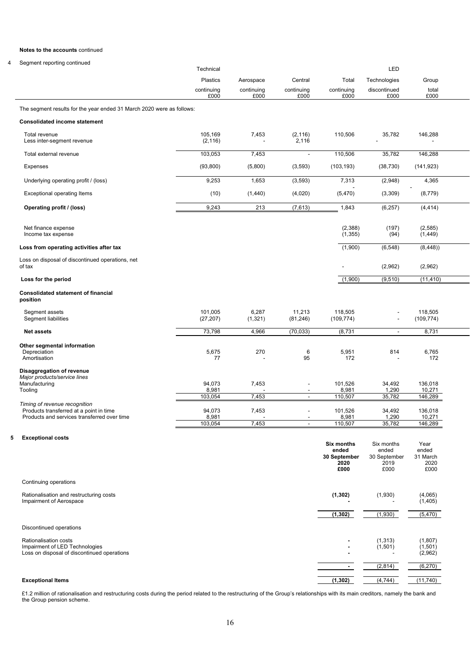# 4 Segment reporting continued

|                                                                                        |                      |                    |                                            | <b>Six months</b><br>ended<br>30 September<br>2020 | ended<br>30 September<br>2019 | Year<br>ended<br>31 March<br>2020 |
|----------------------------------------------------------------------------------------|----------------------|--------------------|--------------------------------------------|----------------------------------------------------|-------------------------------|-----------------------------------|
| <b>Exceptional costs</b>                                                               |                      |                    |                                            |                                                    | Six months                    |                                   |
|                                                                                        | 103,054              | 7,453              | $\overline{a}$                             | 110,507                                            | 35,782                        | 146,289                           |
| Products transferred at a point in time<br>Products and services transferred over time | 94,073<br>8,981      | 7,453              | $\overline{a}$                             | 101,526<br>8,981                                   | 34,492<br>1,290               | 136,018<br>10,271                 |
| Timing of revenue recognition                                                          | 103,054              | 7,453              | $\overline{a}$                             | 110,507                                            | 35,782                        | 146,289                           |
| Disaggregation of revenue<br>Major products/service lines<br>Manufacturing<br>Tooling  | 94,073<br>8,981      | 7,453              | $\overline{a}$<br>$\overline{\phantom{a}}$ | 101,526<br>8,981                                   | 34,492<br>1,290               | 136,018<br>10,271                 |
| Other segmental information<br>Depreciation<br>Amortisation                            | 5,675<br>77          | 270                | 6<br>95                                    | 5,951<br>172                                       | 814                           | 6,765<br>172                      |
| <b>Net assets</b>                                                                      | 73,798               | 4.966              | (70, 033)                                  | (8,731)                                            | $\overline{\phantom{a}}$      | 8,731                             |
| Segment assets<br>Segment liabilities                                                  | 101,005<br>(27, 207) | 6,287<br>(1, 321)  | 11,213<br>(81, 246)                        | 118,505<br>(109, 774)                              |                               | 118,505<br>(109, 774)             |
| <b>Consolidated statement of financial</b><br>position                                 |                      |                    |                                            |                                                    |                               |                                   |
| Loss for the period                                                                    |                      |                    |                                            | (1,900)                                            | (9, 510)                      | (11, 410)                         |
| Loss on disposal of discontinued operations, net<br>of tax                             |                      |                    |                                            | $\overline{a}$                                     | (2,962)                       | (2,962)                           |
| Loss from operating activities after tax                                               |                      |                    |                                            | (1,900)                                            | (6, 548)                      | (8,448)                           |
| Net finance expense<br>Income tax expense                                              |                      |                    |                                            | (2,388)<br>(1, 355)                                | (197)<br>(94)                 | (2, 585)<br>(1, 449)              |
| Operating profit / (loss)                                                              | 9,243                | 213                | (7,613)                                    | 1,843                                              | (6, 257)                      | (4, 414)                          |
| <b>Exceptional operating Items</b>                                                     | (10)                 | (1,440)            | (4,020)                                    | (5, 470)                                           | (3,309)                       | (8, 779)                          |
| Underlying operating profit / (loss)                                                   | 9,253                | 1,653              | (3, 593)                                   | 7,313                                              | (2,948)                       | 4,365                             |
| Expenses                                                                               | (93, 800)            | (5,800)            | (3, 593)                                   | (103, 193)                                         | (38, 730)                     | (141, 923)                        |
| Total external revenue                                                                 | 103,053              | 7,453              | $\blacksquare$                             | 110,506                                            | 35,782                        | 146,288                           |
| Total revenue<br>Less inter-segment revenue                                            | 105,169<br>(2, 116)  | 7,453              | (2, 116)<br>2,116                          | 110,506                                            | 35,782                        | 146,288                           |
| <b>Consolidated income statement</b>                                                   |                      |                    |                                            |                                                    |                               |                                   |
| The segment results for the year ended 31 March 2020 were as follows:                  |                      |                    |                                            |                                                    |                               |                                   |
|                                                                                        | continuing<br>£000   | continuing<br>£000 | continuing<br>£000                         | continuing<br>£000                                 | discontinued<br>£000          | total<br>£000                     |
|                                                                                        | <b>Plastics</b>      | Aerospace          | Central                                    | Total                                              | Technologies                  | Group                             |
|                                                                                        | Technical            |                    |                                            |                                                    | LED                           |                                   |

|                                                                                                               | £000                                                      | £000                | £000                           |
|---------------------------------------------------------------------------------------------------------------|-----------------------------------------------------------|---------------------|--------------------------------|
| Continuing operations                                                                                         |                                                           |                     |                                |
| Rationalisation and restructuring costs<br>Impairment of Aerospace                                            | (1, 302)                                                  | (1,930)             | (4,065)<br>(1,405)             |
|                                                                                                               | (1, 302)                                                  | (1,930)             | (5, 470)                       |
| Discontinued operations                                                                                       |                                                           |                     |                                |
| <b>Rationalisation costs</b><br>Impairment of LED Technologies<br>Loss on disposal of discontinued operations | $\overline{\phantom{0}}$<br>$\overline{\phantom{0}}$<br>- | (1, 313)<br>(1,501) | (1, 807)<br>(1,501)<br>(2,962) |
|                                                                                                               |                                                           | (2,814)             | (6, 270)                       |
| <b>Exceptional Items</b>                                                                                      | (1, 302)                                                  | (4, 744)            | (11, 740)                      |

£1.2 million of rationalisation and restructuring costs during the period related to the restructuring of the Group's relationships with its main creditors, namely the bank and the Group pension scheme.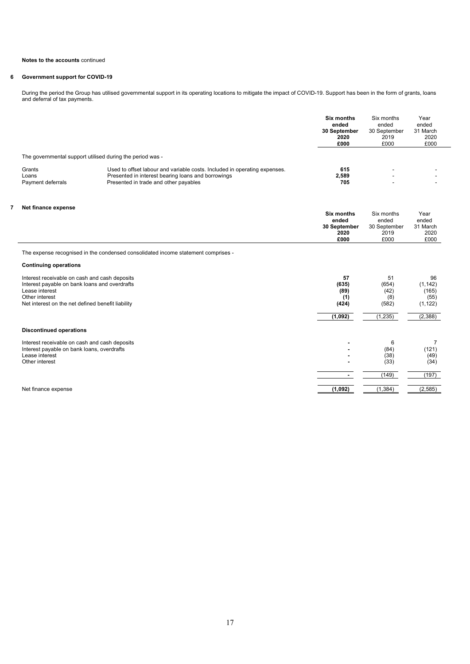# **6 Government support for COVID-19**

During the period the Group has utilised governmental support in its operating locations to mitigate the impact of COVID-19. Support has been in the form of grants, loans and deferral of tax payments.

|                                                                                                                                                                                         |                                                                                                                                                                          | <b>Six months</b><br>ended<br>30 September<br>2020<br>£000 | Six months<br>ended<br>30 September<br>2019<br>£000 | Year<br>ended<br>31 March<br>2020<br>£000   |  |
|-----------------------------------------------------------------------------------------------------------------------------------------------------------------------------------------|--------------------------------------------------------------------------------------------------------------------------------------------------------------------------|------------------------------------------------------------|-----------------------------------------------------|---------------------------------------------|--|
| The governmental support utilised during the period was -                                                                                                                               |                                                                                                                                                                          |                                                            |                                                     |                                             |  |
| Grants<br>Loans<br>Payment deferrals                                                                                                                                                    | Used to offset labour and variable costs. Included in operating expenses.<br>Presented in interest bearing loans and borrowings<br>Presented in trade and other payables | 615<br>2.589<br>705                                        |                                                     |                                             |  |
| Net finance expense                                                                                                                                                                     |                                                                                                                                                                          | <b>Six months</b>                                          | Six months                                          | Year                                        |  |
|                                                                                                                                                                                         |                                                                                                                                                                          | ended<br>30 September<br>2020<br>£000                      | ended<br>30 September<br>2019<br>£000               | ended<br>31 March<br>2020<br>£000           |  |
|                                                                                                                                                                                         | The expense recognised in the condensed consolidated income statement comprises -                                                                                        |                                                            |                                                     |                                             |  |
| <b>Continuing operations</b>                                                                                                                                                            |                                                                                                                                                                          |                                                            |                                                     |                                             |  |
| Interest receivable on cash and cash deposits<br>Interest payable on bank loans and overdrafts<br>Lease interest<br>Other interest<br>Net interest on the net defined benefit liability |                                                                                                                                                                          | 57<br>(635)<br>(89)<br>(1)<br>(424)                        | 51<br>(654)<br>(42)<br>(8)<br>(582)                 | 96<br>(1, 142)<br>(165)<br>(55)<br>(1, 122) |  |
|                                                                                                                                                                                         |                                                                                                                                                                          | (1,092)                                                    | (1, 235)                                            | (2,388)                                     |  |
| <b>Discontinued operations</b>                                                                                                                                                          |                                                                                                                                                                          |                                                            |                                                     |                                             |  |
| Interest receivable on cash and cash deposits<br>Interest payable on bank loans, overdrafts<br>Lease interest<br>Other interest                                                         |                                                                                                                                                                          |                                                            | 6<br>(84)<br>(38)<br>(33)                           | $\overline{7}$<br>(121)<br>(49)<br>(34)     |  |
|                                                                                                                                                                                         |                                                                                                                                                                          | $\sim$                                                     | (149)                                               | (197)                                       |  |
| Net finance expense                                                                                                                                                                     |                                                                                                                                                                          | (1,092)                                                    | (1, 384)                                            | (2, 585)                                    |  |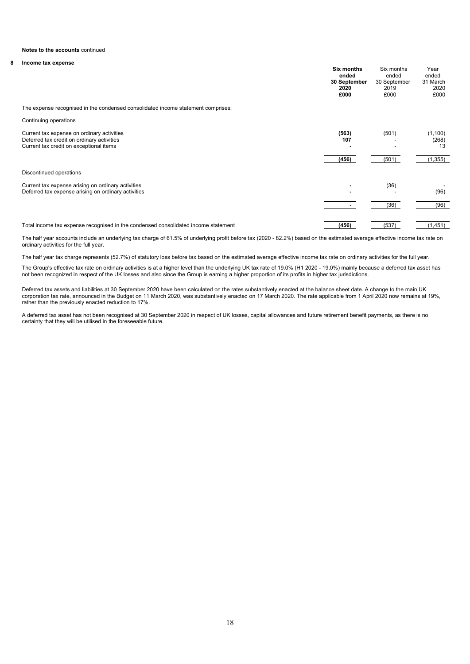# **8 Income tax expense**

|                                                                                                                                     | Six months<br>ended<br>30 September<br>2020<br>£000 | Six months<br>ended<br>30 September<br>2019<br>£000 | Year<br>ended<br>31 March<br>2020<br>£000 |
|-------------------------------------------------------------------------------------------------------------------------------------|-----------------------------------------------------|-----------------------------------------------------|-------------------------------------------|
| The expense recognised in the condensed consolidated income statement comprises:                                                    |                                                     |                                                     |                                           |
| Continuing operations                                                                                                               |                                                     |                                                     |                                           |
| Current tax expense on ordinary activities<br>Deferred tax credit on ordinary activities<br>Current tax credit on exceptional items | (563)<br>107<br>(456)                               | (501)<br>(501)                                      | (1, 100)<br>(268)<br>13<br>(1, 355)       |
| Discontinued operations                                                                                                             |                                                     |                                                     |                                           |
| Current tax expense arising on ordinary activities<br>Deferred tax expense arising on ordinary activities                           |                                                     | (36)                                                | (96)                                      |
|                                                                                                                                     |                                                     | (36)                                                | (96)                                      |
| Total income tax expense recognised in the condensed consolidated income statement                                                  | (456)                                               | (537)                                               | (1, 451)                                  |

The half year accounts include an underlying tax charge of 61.5% of underlying profit before tax (2020 - 82.2%) based on the estimated average effective income tax rate on ordinary activities for the full year.

The half year tax charge represents (52.7%) of statutory loss before tax based on the estimated average effective income tax rate on ordinary activities for the full year.

The Group's effective tax rate on ordinary activities is at a higher level than the underlying UK tax rate of 19.0% (H1 2020 - 19.0%) mainly because a deferred tax asset has not been recognized in respect of the UK losses and also since the Group is earning a higher proportion of its profits in higher tax jurisdictions.

Deferred tax assets and liabilities at 30 September 2020 have been calculated on the rates substantively enacted at the balance sheet date. A change to the main UK corporation tax rate, announced in the Budget on 11 March 2020, was substantively enacted on 17 March 2020. The rate applicable from 1 April 2020 now remains at 19%, rather than the previously enacted reduction to 17%.

A deferred tax asset has not been recognised at 30 September 2020 in respect of UK losses, capital allowances and future retirement benefit payments, as there is no certainty that they will be utilised in the foreseeable future.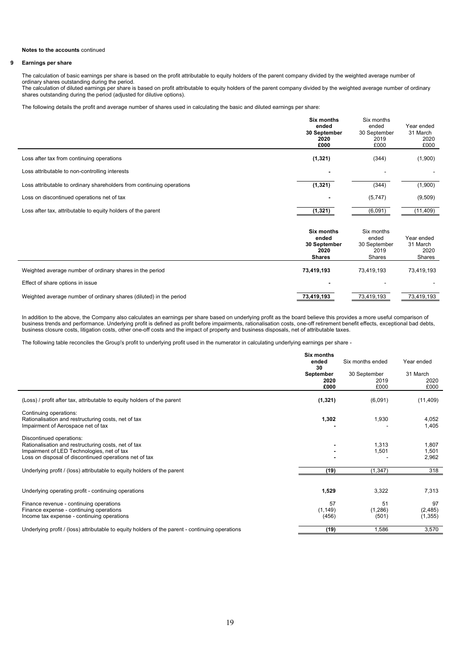#### **9 Earnings per share**

The calculation of basic earnings per share is based on the profit attributable to equity holders of the parent company divided by the weighted average number of ordinary shares outstanding during the period.

The calculation of diluted earnings per share is based on profit attributable to equity holders of the parent company divided by the weighted average number of ordinary shares outstanding during the period (adjusted for dilutive options).

The following details the profit and average number of shares used in calculating the basic and diluted earnings per share:

|                                                                       | <b>Six months</b><br>ended<br>30 September<br>2020<br>£000          | Six months<br>ended<br>30 September<br>2019<br>£000   | Year ended<br>31 March<br>2020<br>£000   |
|-----------------------------------------------------------------------|---------------------------------------------------------------------|-------------------------------------------------------|------------------------------------------|
| Loss after tax from continuing operations                             | (1, 321)                                                            | (344)                                                 | (1,900)                                  |
| Loss attributable to non-controlling interests                        |                                                                     |                                                       |                                          |
| Loss attributable to ordinary shareholders from continuing operations | (1, 321)                                                            | (344)                                                 | (1,900)                                  |
| Loss on discontinued operations net of tax                            |                                                                     | (5,747)                                               | (9, 509)                                 |
| Loss after tax, attributable to equity holders of the parent          | (1, 321)                                                            | (6,091)                                               | (11, 409)                                |
|                                                                       | <b>Six months</b><br>ended<br>30 September<br>2020<br><b>Shares</b> | Six months<br>ended<br>30 September<br>2019<br>Shares | Year ended<br>31 March<br>2020<br>Shares |
| Weighted average number of ordinary shares in the period              | 73,419,193                                                          | 73,419,193                                            | 73,419,193                               |
| Effect of share options in issue                                      |                                                                     |                                                       |                                          |
| Weighted average number of ordinary shares (diluted) in the period    | 73,419,193                                                          | 73,419,193                                            | 73,419,193                               |

In addition to the above, the Company also calculates an earnings per share based on underlying profit as the board believe this provides a more useful comparison of business trends and performance. Underlying profit is defined as profit before impairments, rationalisation costs, one-off retirement benefit effects, exceptional bad debts, business closure costs, litigation costs, other one-off costs and the impact of property and business disposals, net of attributable taxes.

The following table reconciles the Group's profit to underlying profit used in the numerator in calculating underlying earnings per share -

|                                                                                                                                                                                         | <b>Six months</b><br>ended<br>30 | Six months ended             | Year ended                |
|-----------------------------------------------------------------------------------------------------------------------------------------------------------------------------------------|----------------------------------|------------------------------|---------------------------|
|                                                                                                                                                                                         | September<br>2020<br>£000        | 30 September<br>2019<br>£000 | 31 March<br>2020<br>£000  |
| (Loss) / profit after tax, attributable to equity holders of the parent                                                                                                                 | (1, 321)                         | (6,091)                      | (11, 409)                 |
| Continuing operations:<br>Rationalisation and restructuring costs, net of tax<br>Impairment of Aerospace net of tax                                                                     | 1,302                            | 1,930                        | 4,052<br>1,405            |
| Discontinued operations:<br>Rationalisation and restructuring costs, net of tax<br>Impairment of LED Technologies, net of tax<br>Loss on disposal of discontinued operations net of tax |                                  | 1,313<br>1,501               | 1,807<br>1,501<br>2,962   |
| Underlying profit / (loss) attributable to equity holders of the parent                                                                                                                 | (19)                             | (1, 347)                     | 318                       |
| Underlying operating profit - continuing operations                                                                                                                                     | 1,529                            | 3,322                        | 7,313                     |
| Finance revenue - continuing operations<br>Finance expense - continuing operations<br>Income tax expense - continuing operations                                                        | 57<br>(1, 149)<br>(456)          | 51<br>(1, 286)<br>(501)      | 97<br>(2,485)<br>(1, 355) |
| Underlying profit / (loss) attributable to equity holders of the parent - continuing operations                                                                                         | (19)                             | 1,586                        | 3,570                     |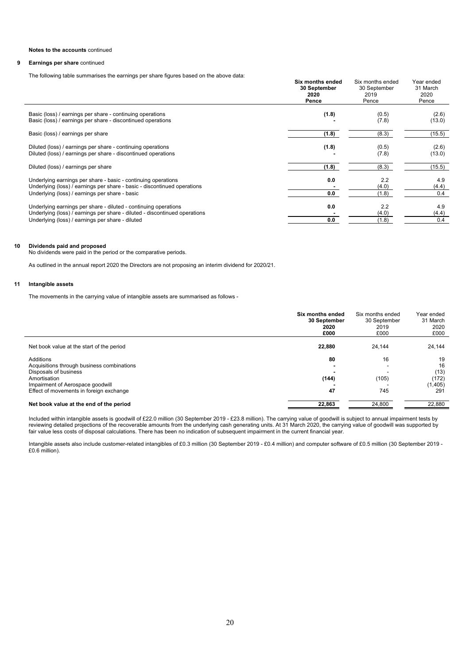#### **9 Earnings per share** continued

The following table summarises the earnings per share figures based on the above data:

|                                                                                                                                                                                                   | Six months ended<br>30 September<br>2020<br>Pence | Six months ended<br>30 September<br>2019<br>Pence | Year ended<br>31 March<br>2020<br>Pence |
|---------------------------------------------------------------------------------------------------------------------------------------------------------------------------------------------------|---------------------------------------------------|---------------------------------------------------|-----------------------------------------|
| Basic (loss) / earnings per share - continuing operations<br>Basic (loss) / earnings per share - discontinued operations                                                                          | (1.8)                                             | (0.5)<br>(7.8)                                    | (2.6)<br>(13.0)                         |
| Basic (loss) / earnings per share                                                                                                                                                                 | (1.8)                                             | (8.3)                                             | (15.5)                                  |
| Diluted (loss) / earnings per share - continuing operations<br>Diluted (loss) / earnings per share - discontinued operations                                                                      | (1.8)                                             | (0.5)<br>(7.8)                                    | (2.6)<br>(13.0)                         |
| Diluted (loss) / earnings per share                                                                                                                                                               | (1.8)                                             | (8.3)                                             | (15.5)                                  |
| Underlying earnings per share - basic - continuing operations<br>Underlying (loss) / earnings per share - basic - discontinued operations<br>Underlying (loss) / earnings per share - basic       | 0.0<br>0.0                                        | 2.2<br>(4.0)<br>(1.8)                             | 4.9<br>(4.4)<br>0.4                     |
| Underlying earnings per share - diluted - continuing operations<br>Underlying (loss) / earnings per share - diluted - discontinued operations<br>Underlying (loss) / earnings per share - diluted | 0.0<br>0.0                                        | 2.2<br>(4.0)<br>(1.8)                             | 4.9<br>(4.4)<br>0.4                     |

## **10 Dividends paid and proposed**

No dividends were paid in the period or the comparative periods.

As outlined in the annual report 2020 the Directors are not proposing an interim dividend for 2020/21.

## **11 Intangible assets**

The movements in the carrying value of intangible assets are summarised as follows -

|                                                                                                                                                                                 | Six months ended<br>30 September<br>2020<br>£000 | Six months ended<br>30 September<br>2019<br>£000 | Year ended<br>31 March<br>2020<br>£000      |
|---------------------------------------------------------------------------------------------------------------------------------------------------------------------------------|--------------------------------------------------|--------------------------------------------------|---------------------------------------------|
| Net book value at the start of the period                                                                                                                                       | 22,880                                           | 24,144                                           | 24,144                                      |
| Additions<br>Acquisitions through business combinations<br>Disposals of business<br>Amortisation<br>Impairment of Aerospace goodwill<br>Effect of movements in foreign exchange | 80<br>(144)<br>47                                | 16<br>(105)<br>745                               | 19<br>16<br>(13)<br>(172)<br>(1,405)<br>291 |
| Net book value at the end of the period                                                                                                                                         | 22,863                                           | 24,800                                           | 22,880                                      |

Included within intangible assets is goodwill of £22.0 million (30 September 2019 - £23.8 million). The carrying value of goodwill is subject to annual impairment tests by reviewing detailed projections of the recoverable amounts from the underlying cash generating units. At 31 March 2020, the carrying value of goodwill was supported by fair value less costs of disposal calculations. There has been no indication of subsequent impairment in the current financial year.

Intangible assets also include customer-related intangibles of £0.3 million (30 September 2019 - £0.4 million) and computer software of £0.5 million (30 September 2019 - £0.6 million).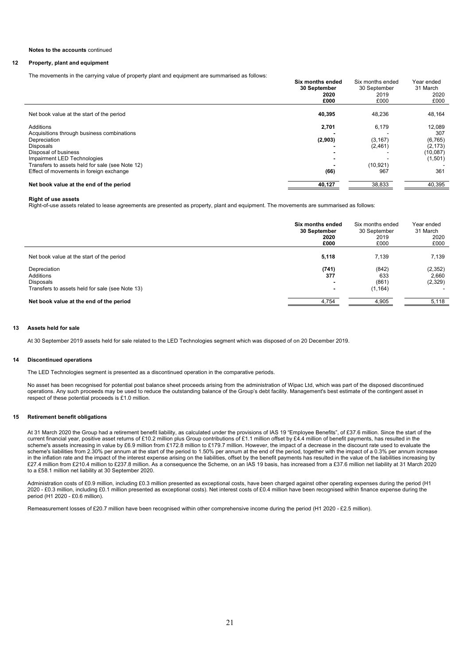## **12 Property, plant and equipment**

The movements in the carrying value of property plant and equipment are summarised as follows:

|                                                 | Six months ended | Six months ended | Year ended |
|-------------------------------------------------|------------------|------------------|------------|
|                                                 | 30 September     | 30 September     | 31 March   |
|                                                 | 2020             | 2019             | 2020       |
|                                                 | £000             | £000             | £000       |
|                                                 |                  |                  |            |
| Net book value at the start of the period       | 40,395           | 48,236           | 48,164     |
| Additions                                       |                  |                  | 12.089     |
|                                                 | 2,701            | 6,179            |            |
| Acquisitions through business combinations      |                  |                  | 307        |
| Depreciation                                    | (2,903)          | (3, 167)         | (6, 765)   |
| <b>Disposals</b>                                |                  | (2,461)          | (2, 173)   |
| Disposal of business                            |                  |                  | (10,087)   |
| Impairment LED Technologies                     |                  |                  | (1,501)    |
| Transfers to assets held for sale (see Note 12) |                  | (10, 921)        |            |
| Effect of movements in foreign exchange         | (66)             | 967              | 361        |
| Net book value at the end of the period         | 40,127           | 38,833           | 40,395     |
|                                                 |                  |                  |            |

## **Right of use assets**

Right-of-use assets related to lease agreements are presented as property, plant and equipment. The movements are summarised as follows:

|                                                                                                  | Six months ended<br>30 September<br>2020<br>£000 | Six months ended<br>30 September<br>2019<br>£000 | Year ended<br>31 March<br>2020<br>£000 |
|--------------------------------------------------------------------------------------------------|--------------------------------------------------|--------------------------------------------------|----------------------------------------|
| Net book value at the start of the period                                                        | 5,118                                            | 7.139                                            | 7,139                                  |
| Depreciation<br>Additions<br><b>Disposals</b><br>Transfers to assets held for sale (see Note 13) | (741)<br>377                                     | (842)<br>633<br>(861)<br>(1, 164)                | (2, 352)<br>2,660<br>(2,329)           |
| Net book value at the end of the period                                                          | 4.754                                            | 4.905                                            | 5,118                                  |

#### **13 Assets held for sale**

At 30 September 2019 assets held for sale related to the LED Technologies segment which was disposed of on 20 December 2019.

#### **14 Discontinued operations**

The LED Technologies segment is presented as a discontinued operation in the comparative periods.

No asset has been recognised for potential post balance sheet proceeds arising from the administration of Wipac Ltd, which was part of the disposed discontinued operations. Any such proceeds may be used to reduce the outstanding balance of the Group's debt facility. Management's best estimate of the contingent asset in respect of these potential proceeds is £1.0 million.

## **15 Retirement benefit obligations**

At 31 March 2020 the Group had a retirement benefit liability, as calculated under the provisions of IAS 19 "Employee Benefits", of £37.6 million. Since the start of the current financial year, positive asset returns of £10.2 million plus Group contributions of £1.1 million offset by £4.4 million of benefit payments, has resulted in the scheme's assets increasing in value by £6.9 million from £172.8 million to £179.7 million. However, the impact of a decrease in the discount rate used to evaluate the scheme's liabilities from 2.30% per annum at the start of the period to 1.50% per annum at the end of the period, together with the impact of a 0.3% per annum increase in the inflation rate and the impact of the interest expense arising on the liabilities, offset by the benefit payments has resulted in the value of the liabilities increasing by £27.4 million from £210.4 million to £237.8 million. As a consequence the Scheme, on an IAS 19 basis, has increased from a £37.6 million net liability at 31 March 2020 to a £58.1 million net liability at 30 September 2020.

Administration costs of £0.9 million, including £0.3 million presented as exceptional costs, have been charged against other operating expenses during the period (H1 2020 - £0.3 million, including £0.1 million presented as exceptional costs). Net interest costs of £0.4 million have been recognised within finance expense during the period (H1 2020 - £0.6 million).

Remeasurement losses of £20.7 million have been recognised within other comprehensive income during the period (H1 2020 - £2.5 million).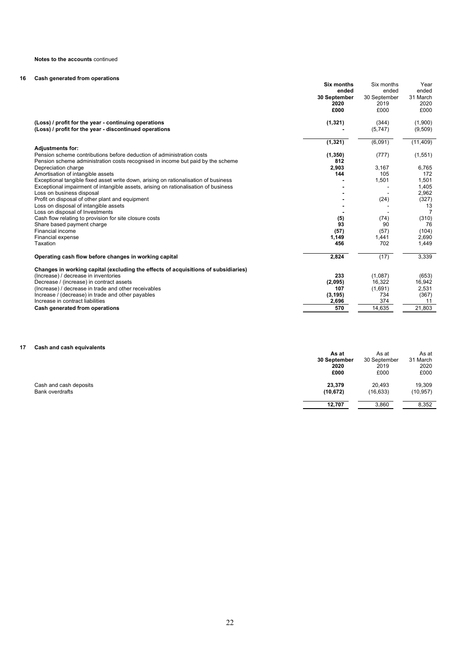# **16 Cash generated from operations**

|                                                                                     | <b>Six months</b><br>ended | Six months<br>ended | Year<br>ended |
|-------------------------------------------------------------------------------------|----------------------------|---------------------|---------------|
|                                                                                     | 30 September               | 30 September        | 31 March      |
|                                                                                     | 2020                       | 2019                | 2020          |
|                                                                                     | £000                       | £000                | £000          |
|                                                                                     |                            |                     |               |
| (Loss) / profit for the year - continuing operations                                | (1, 321)                   | (344)               | (1,900)       |
| (Loss) / profit for the year - discontinued operations                              |                            | (5,747)             | (9,509)       |
|                                                                                     |                            |                     |               |
|                                                                                     | (1, 321)                   | (6,091)             | (11, 409)     |
| <b>Adjustments for:</b>                                                             |                            |                     |               |
| Pension scheme contributions before deduction of administration costs               | (1, 350)                   | (777)               | (1, 551)      |
| Pension scheme administration costs recognised in income but paid by the scheme     | 812                        |                     |               |
| Depreciation charge                                                                 | 2,903                      | 3,167               | 6,765         |
| Amortisation of intangible assets                                                   | 144                        | 105                 | 172           |
| Exceptional tangible fixed asset write down, arising on rationalisation of business |                            | 1,501               | 1,501         |
| Exceptional impairment of intangible assets, arising on rationalisation of business |                            |                     | 1,405         |
| Loss on business disposal                                                           |                            |                     | 2,962         |
| Profit on disposal of other plant and equipment                                     |                            | (24)                | (327)         |
| Loss on disposal of intangible assets                                               |                            |                     | 13            |
| Loss on disposal of Investments                                                     |                            |                     | 7             |
| Cash flow relating to provision for site closure costs                              | (5)                        | (74)                | (310)         |
| Share based payment charge                                                          | 93                         | 90                  | 76            |
| Financial income                                                                    | (57)                       | (57)                | (104)         |
| Financial expense                                                                   | 1,149                      | 1,441               | 2,690         |
| Taxation                                                                            | 456                        | 702                 | 1,449         |
| Operating cash flow before changes in working capital                               | 2,824                      | (17)                | 3,339         |
| Changes in working capital (excluding the effects of acquisitions of subsidiaries)  |                            |                     |               |
| (Increase) / decrease in inventories                                                | 233                        | (1,087)             | (653)         |
| Decrease / (increase) in contract assets                                            | (2,095)                    | 16,322              | 16,942        |
| (Increase) / decrease in trade and other receivables                                | 107                        | (1,691)             | 2,531         |
| Increase / (decrease) in trade and other payables                                   | (3, 195)                   | 734                 | (367)         |
| Increase in contract liabilities                                                    | 2,696                      | 374                 | 11            |
| Cash generated from operations                                                      | 570                        | 14,635              | 21,803        |

# **17 Cash and cash equivalents**

| Cash and cash equivalents |              |              |           |
|---------------------------|--------------|--------------|-----------|
|                           | As at        | As at        | As at     |
|                           | 30 September | 30 September | 31 March  |
|                           | 2020         | 2019         | 2020      |
|                           | £000         | £000         | £000      |
| Cash and cash deposits    | 23,379       | 20,493       | 19,309    |
| <b>Bank overdrafts</b>    | (10, 672)    | (16, 633)    | (10, 957) |
|                           | 12.707       | 3,860        | 8,352     |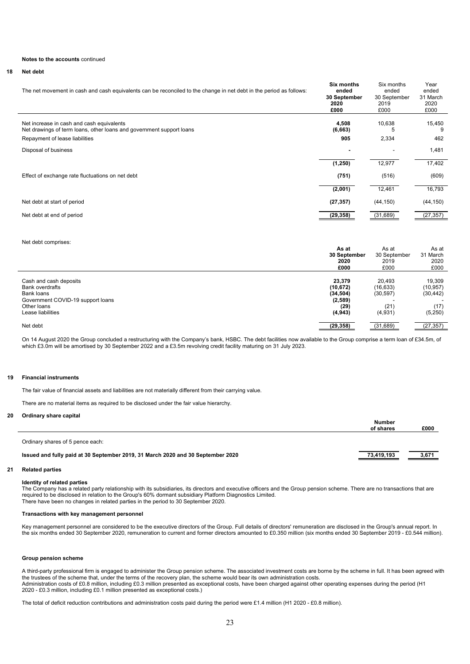#### **18 Net debt**

| The net movement in cash and cash equivalents can be reconciled to the change in net debt in the period as follows:                                 | <b>Six months</b><br>ended<br>30 September<br>2020<br>£000 | Six months<br>ended<br>30 September<br>2019<br>£000 | Year<br>ended<br>31 March<br>2020<br>£000 |
|-----------------------------------------------------------------------------------------------------------------------------------------------------|------------------------------------------------------------|-----------------------------------------------------|-------------------------------------------|
| Net increase in cash and cash equivalents<br>Net drawings of term loans, other loans and government support loans<br>Repayment of lease liabilities | 4,508<br>(6,663)<br>905                                    | 10,638<br>b<br>2,334                                | 15,450<br>9<br>462                        |
| Disposal of business                                                                                                                                |                                                            |                                                     | 1,481                                     |
|                                                                                                                                                     | (1, 250)                                                   | 12,977                                              | 17,402                                    |
| Effect of exchange rate fluctuations on net debt                                                                                                    | (751)                                                      | (516)                                               | (609)                                     |
|                                                                                                                                                     | (2,001)                                                    | 12,461                                              | 16,793                                    |
| Net debt at start of period                                                                                                                         | (27, 357)                                                  | (44, 150)                                           | (44, 150)                                 |
| Net debt at end of period                                                                                                                           | (29, 358)                                                  | (31, 689)                                           | (27, 357)                                 |

#### Net debt comprises:

|                                   | As at                | As at<br>30 September<br>2019<br>£000 | As at<br>31 March<br>2020<br>£000 |
|-----------------------------------|----------------------|---------------------------------------|-----------------------------------|
|                                   | 30 September<br>2020 |                                       |                                   |
|                                   |                      |                                       |                                   |
|                                   | £000                 |                                       |                                   |
|                                   |                      |                                       |                                   |
| Cash and cash deposits            | 23.379               | 20.493                                | 19,309                            |
| <b>Bank overdrafts</b>            | (10, 672)            | (16, 633)                             | (10, 957)                         |
| Bank loans                        | (34, 504)            | (30, 597)                             | (30, 442)                         |
| Government COVID-19 support loans | (2,589)              |                                       |                                   |
| Other loans                       | (29)                 | (21)                                  | (17)                              |
| Lease liabilities                 | (4, 943)             | (4,931)                               | (5,250)                           |
| Net debt                          | (29, 358)            | (31, 689)                             | (27, 357)                         |

On 14 August 2020 the Group concluded a restructuring with the Company's bank, HSBC. The debt facilities now available to the Group comprise a term loan of £34.5m, of which £3.0m will be amortised by 30 September 2022 and a £3.5m revolving credit facility maturing on 31 July 2023.

#### **19 Financial instruments**

The fair value of financial assets and liabilities are not materially different from their carrying value.

There are no material items as required to be disclosed under the fair value hierarchy.

## **20 Ordinary share capital**

|                                                                                 | Number<br>of shares | £000  |
|---------------------------------------------------------------------------------|---------------------|-------|
| Ordinary shares of 5 pence each:                                                |                     |       |
| Issued and fully paid at 30 September 2019, 31 March 2020 and 30 September 2020 | <u>73,419,193</u>   | 3,671 |

## **21 Related parties**

## **Identity of related parties**

The Company has a related party relationship with its subsidiaries, its directors and executive officers and the Group pension scheme. There are no transactions that are required to be disclosed in relation to the Group's 60% dormant subsidiary Platform Diagnostics Limited. There have been no changes in related parties in the period to 30 September 2020.

## **Transactions with key management personnel**

Key management personnel are considered to be the executive directors of the Group. Full details of directors' remuneration are disclosed in the Group's annual report. In the six months ended 30 September 2020, remuneration to current and former directors amounted to £0.350 million (six months ended 30 September 2019 - £0.544 million).

#### **Group pension scheme**

A third-party professional firm is engaged to administer the Group pension scheme. The associated investment costs are borne by the scheme in full. It has been agreed with the trustees of the scheme that, under the terms of the recovery plan, the scheme would bear its own administration costs. Administration costs of £0.8 million, including £0.3 million presented as exceptional costs, have been charged against other operating expenses during the period (H1 2020 - £0.3 million, including £0.1 million presented as exceptional costs.)

The total of deficit reduction contributions and administration costs paid during the period were £1.4 million (H1 2020 - £0.8 million).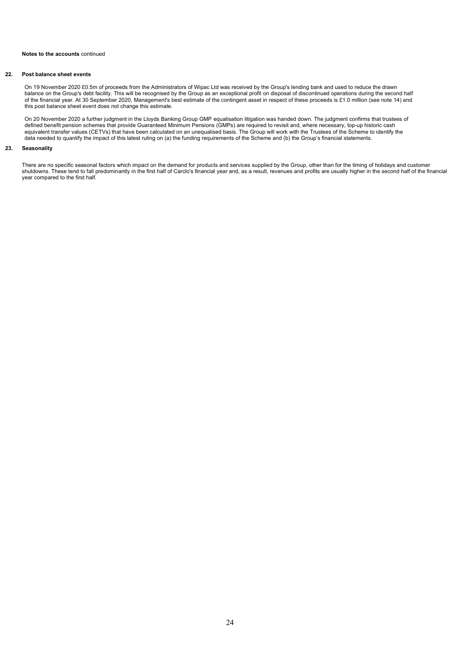## **22. Post balance sheet events**

On 19 November 2020 £0.5m of proceeds from the Administrators of Wipac Ltd was received by the Group's lending bank and used to reduce the drawn balance on the Group's debt facility. This will be recognised by the Group as an exceptional profit on disposal of discontinued operations during the second half of the financial year. At 30 September 2020, Management's best estimate of the contingent asset in respect of these proceeds is £1.0 million (see note 14) and this post balance sheet event does not change this estimate.

On 20 November 2020 a further judgment in the Lloyds Banking Group GMP equalisation litigation was handed down. The judgment confirms that trustees of defined benefit pension schemes that provide Guaranteed Minimum Pensions (GMPs) are required to revisit and, where necessary, top-up historic cash equivalent transfer values (CETVs) that have been calculated on an unequalised basis. The Group will work with the Trustees of the Scheme to identify the data needed to quantify the impact of this latest ruling on (a) the funding requirements of the Scheme and (b) the Group's financial statements.

## **23. Seasonality**

There are no specific seasonal factors which impact on the demand for products and services supplied by the Group, other than for the timing of holidays and customer shutdowns. These tend to fall predominantly in the first half of Carclo's financial year and, as a result, revenues and profits are usually higher in the second half of the financial year compared to the first half.